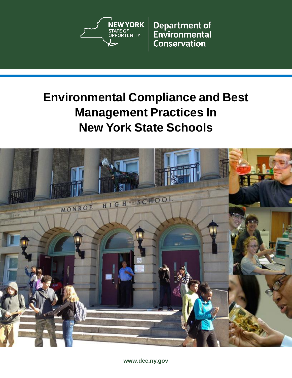

**Department of** Environmental **Conservation** 

# **Environmental Compliance and Best Management Practices In New York State Schools**



**[www.dec.ny.gov](http://www.dec.ny.gov/)**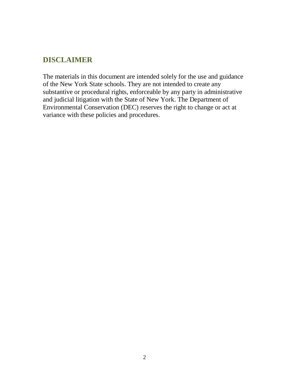# **DISCLAIMER**

The materials in this document are intended solely for the use and guidance of the New York State schools. They are not intended to create any substantive or procedural rights, enforceable by any party in administrative and judicial litigation with the State of New York. The Department of Environmental Conservation (DEC) reserves the right to change or act at variance with these policies and procedures.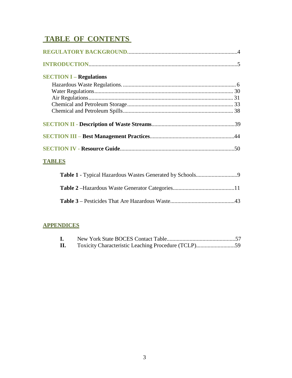# **TABLE OF CONTENTS**

| <b>SECTION I – Regulations</b>                                                                                                                                                                                                                                                                            |  |
|-----------------------------------------------------------------------------------------------------------------------------------------------------------------------------------------------------------------------------------------------------------------------------------------------------------|--|
|                                                                                                                                                                                                                                                                                                           |  |
|                                                                                                                                                                                                                                                                                                           |  |
|                                                                                                                                                                                                                                                                                                           |  |
|                                                                                                                                                                                                                                                                                                           |  |
|                                                                                                                                                                                                                                                                                                           |  |
|                                                                                                                                                                                                                                                                                                           |  |
|                                                                                                                                                                                                                                                                                                           |  |
|                                                                                                                                                                                                                                                                                                           |  |
| <b>TABLES</b>                                                                                                                                                                                                                                                                                             |  |
| $\mathbf{m}$ is a $\mathbf{m}$ if $\mathbf{r}$ is $\mathbf{r}$ if $\mathbf{r}$ is $\mathbf{r}$ if $\mathbf{r}$ is $\mathbf{r}$ if $\mathbf{r}$ if $\mathbf{r}$ if $\mathbf{r}$ if $\mathbf{r}$ if $\mathbf{r}$ if $\mathbf{r}$ if $\mathbf{r}$ if $\mathbf{r}$ if $\mathbf{r}$ if $\mathbf{r}$ if $\math$ |  |

### **APPENDICES**

| $\mathbf{I}$ . |  |
|----------------|--|
| П.             |  |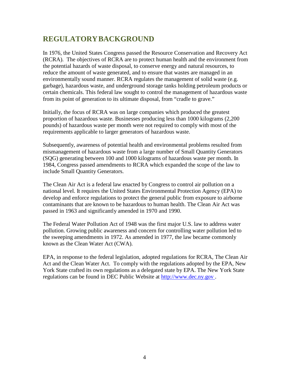# <span id="page-3-0"></span>**REGULATORYBACKGROUND**

In 1976, the United States Congress passed the Resource Conservation and Recovery Act (RCRA). The objectives of RCRA are to protect human health and the environment from the potential hazards of waste disposal, to conserve energy and natural resources, to reduce the amount of waste generated, and to ensure that wastes are managed in an environmentally sound manner. RCRA regulates the management of solid waste (e.g. garbage), hazardous waste, and underground storage tanks holding petroleum products or certain chemicals. This federal law sought to control the management of hazardous waste from its point of generation to its ultimate disposal, from "cradle to grave."

Initially, the focus of RCRA was on large companies which produced the greatest proportion of hazardous waste. Businesses producing less than 1000 kilograms (2,200 pounds) of hazardous waste per month were not required to comply with most of the requirements applicable to larger generators of hazardous waste.

Subsequently, awareness of potential health and environmental problems resulted from mismanagement of hazardous waste from a large number of Small Quantity Generators (SQG) generating between 100 and 1000 kilograms of hazardous waste per month. In 1984, Congress passed amendments to RCRA which expanded the scope of the law to include Small Quantity Generators.

The Clean Air Act is a federal law enacted by Congress to control air pollution on a national level. It requires the United States Environmental Protection Agency (EPA) to develop and enforce regulations to protect the general public from exposure to airborne contaminants that are known to be hazardous to human health. The Clean Air Act was passed in 1963 and significantly amended in 1970 and 1990.

The Federal Water Pollution Act of 1948 was the first major U.S. law to address water pollution. Growing public awareness and concern for controlling water pollution led to the sweeping amendments in 1972. As amended in 1977, the law became commonly known as the Clean Water Act (CWA).

EPA, in response to the federal legislation, adopted regulations for RCRA, The Clean Air Act and the Clean Water Act. To comply with the regulations adopted by the EPA, New York State crafted its own regulations as a delegated state by EPA. The New York State regulations can be found in DEC Public Website at [http://www.dec.ny.gov .](http://www.dec.ny.gov/)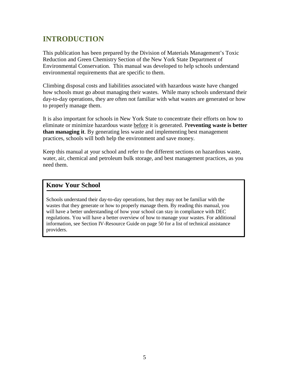# <span id="page-4-0"></span>**INTRODUCTION**

This publication has been prepared by the Division of Materials Management's Toxic Reduction and Green Chemistry Section of the New York State Department of Environmental Conservation. This manual was developed to help schools understand environmental requirements that are specific to them.

Climbing disposal costs and liabilities associated with hazardous waste have changed how schools must go about managing their wastes. While many schools understand their day-to-day operations, they are often not familiar with what wastes are generated or how to properly manage them.

It is also important for schools in New York State to concentrate their efforts on how to eliminate or minimize hazardous waste before it is generated. P**reventing waste is better than managing it**. By generating less waste and implementing best management practices, schools will both help the environment and save money.

Keep this manual at your school and refer to the different sections on hazardous waste, water, air, chemical and petroleum bulk storage, and best management practices, as you need them.

### **Know Your School**

Schools understand their day-to-day operations, but they may not be familiar with the wastes that they generate or how to properly manage them. By reading this manual, you will have a better understanding of how your school can stay in compliance with DEC regulations. You will have a better overview of how to manage your wastes. For additional information, see Section IV-Resource Guide on page 50 for a list of technical assistance providers.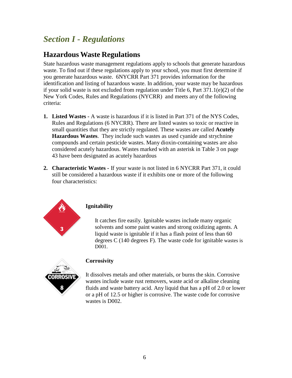# <span id="page-5-0"></span>*Section I - Regulations*

# <span id="page-5-1"></span>**Hazardous Waste Regulations**

State hazardous waste management regulations apply to schools that generate hazardous waste. To find out if these regulations apply to your school, you must first determine if you generate hazardous waste. 6NYCRR Part 371 provides information for the identification and listing of hazardous waste. In addition, your waste may be hazardous if your solid waste is not excluded from regulation under Title 6, Part 371.1(e)(2) of the New York Codes, Rules and Regulations (NYCRR) and meets any of the following criteria:

- **1. Listed Wastes -** A waste is hazardous if it is listed in Part 371 of the NYS Codes, Rules and Regulations (6 NYCRR). There are listed wastes so toxic or reactive in small quantities that they are strictly regulated. These wastes are called **Acutely Hazardous Wastes**. They include such wastes as used cyanide and strychnine compounds and certain pesticide wastes. Many dioxin-containing wastes are also considered acutely hazardous. Wastes marked with an asterisk in Table 3 on page 43 have been designated as acutely hazardous
- **2. Characteristic Wastes -** If your waste is not listed in 6 NYCRR Part 371, it could still be considered a hazardous waste if it exhibits one or more of the following four characteristics:



#### **Ignitability**

It catches fire easily. Ignitable wastes include many organic solvents and some paint wastes and strong oxidizing agents. A liquid waste is ignitable if it has a flash point of less than 60 degrees C (140 degrees F). The waste code for ignitable wastes is D001.



#### **Corrosivity**

It dissolves metals and other materials, or burns the skin. Corrosive wastes include waste rust removers, waste acid or alkaline cleaning fluids and waste battery acid. Any liquid that has a pH of 2.0 or lower or a pH of 12.5 or higher is corrosive. The waste code for corrosive wastes is D002.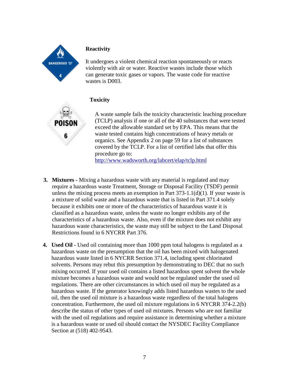

#### **Reactivity**

It undergoes a violent chemical reaction spontaneously or reacts violently with air or water. Reactive wastes include those which can generate toxic gases or vapors. The waste code for reactive wastes is D003.

### **Toxicity**

A waste sample fails the toxicity characteristic leaching procedure (TCLP) analysis if one or all of the 40 substances that were tested exceed the allowable standard set by EPA. This means that the waste tested contains high concentrations of heavy metals or organics. See Appendix 2 on page 59 for a list of substances covered by the TCLP. For a list of certified labs that offer this procedure go to:

<http://www.wadsworth.org/labcert/elap/tclp.html>

- **3. Mixtures -** Mixing a hazardous waste with any material is regulated and may require a hazardous waste Treatment, Storage or Disposal Facility (TSDF) permit unless the mixing process meets an exemption in Part  $373-1.1(d)(1)$ . If your waste is a mixture of solid waste and a hazardous waste that is listed in Part 371.4 solely because it exhibits one or more of the characteristics of hazardous waste it is classified as a hazardous waste, unless the waste no longer exhibits any of the characteristics of a hazardous waste. Also, even if the mixture does not exhibit any hazardous waste characteristics, the waste may still be subject to the Land Disposal Restrictions found in 6 NYCRR Part 376.
- **4. Used Oil -** Used oil containing more than 1000 ppm total halogens is regulated as a hazardous waste on the presumption that the oil has been mixed with halogenated hazardous waste listed in 6 NYCRR Section 371.4, including spent chlorinated solvents. Persons may rebut this presumption by demonstrating to DEC that no such mixing occurred. If your used oil contains a listed hazardous spent solvent the whole mixture becomes a hazardous waste and would not be regulated under the used oil regulations. There are other circumstances in which used oil may be regulated as a hazardous waste. If the generator knowingly adds listed hazardous wastes to the used oil, then the used oil mixture is a hazardous waste regardless of the total halogens concentration. Furthermore, the used oil mixture regulations in 6 NYCRR 374-2.2(b) describe the status of other types of used oil mixtures. Persons who are not familiar with the used oil regulations and require assistance in determining whether a mixture is a hazardous waste or used oil should contact the NYSDEC Facility Compliance Section at (518) 402-9543.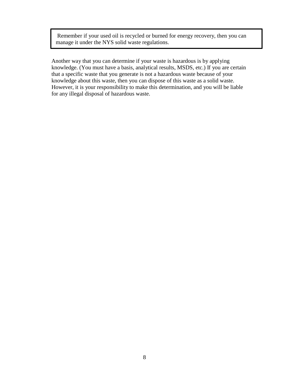Remember if your used oil is recycled or burned for energy recovery, then you can manage it under the NYS solid waste regulations.

Another way that you can determine if your waste is hazardous is by applying knowledge. (You must have a basis, analytical results, MSDS, etc.) If you are certain that a specific waste that you generate is not a hazardous waste because of your knowledge about this waste, then you can dispose of this waste as a solid waste. However, it is your responsibility to make this determination, and you will be liable for any illegal disposal of hazardous waste.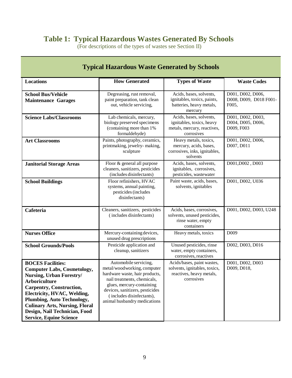# **Table 1: Typical Hazardous Wastes Generated By Schools**

(For descriptions of the types of wastes see Section II)

| <b>Typical Hazardous Waste Generated by Schools</b>                                                                                                                                                                                                                                                                                          |                                                                                                                                                                                                                                                    |                                                                                                       |                                                      |  |
|----------------------------------------------------------------------------------------------------------------------------------------------------------------------------------------------------------------------------------------------------------------------------------------------------------------------------------------------|----------------------------------------------------------------------------------------------------------------------------------------------------------------------------------------------------------------------------------------------------|-------------------------------------------------------------------------------------------------------|------------------------------------------------------|--|
| <b>Locations</b>                                                                                                                                                                                                                                                                                                                             | <b>How Generated</b>                                                                                                                                                                                                                               | <b>Types of Waste</b>                                                                                 | <b>Waste Codes</b>                                   |  |
| <b>School Bus/Vehicle</b><br><b>Maintenance Garages</b>                                                                                                                                                                                                                                                                                      | Degreasing, rust removal,<br>paint preparation, tank clean<br>out, vehicle servicing,                                                                                                                                                              | Acids, bases, solvents,<br>ignitables, toxics, paints,<br>batteries, heavy metals,<br>mercury         | D001, D002, D006,<br>D008, D009, D018 F001-<br>F005, |  |
| <b>Science Labs/Classrooms</b>                                                                                                                                                                                                                                                                                                               | Lab chemicals, mercury,<br>biology preserved specimens<br>(containing more than 1%)<br>formaldehyde)                                                                                                                                               | Acids, bases, solvents,<br>ignitables, toxics, heavy<br>metals, mercury, reactives,<br>corrosives     | D001, D002, D003,<br>D004, D005, D006,<br>D009, F003 |  |
| <b>Art Classrooms</b>                                                                                                                                                                                                                                                                                                                        | Paints, photography, ceramics,<br>printmaking, jewelry-making,<br>sculpture                                                                                                                                                                        | Heavy metals, toxics,<br>mercury, acids, bases,<br>corrosives, inks, ignitables,<br>solvents          | D001, D002, D006,<br>D007, D011                      |  |
| <b>Janitorial Storage Areas</b>                                                                                                                                                                                                                                                                                                              | Floor & general all purpose<br>cleaners, sanitizers, pesticides<br>(includes disinfectants)                                                                                                                                                        | Acids, bases, solvents,<br>ignitables, corrosives,<br>pesticides, wastewater                          | D001, D002, D003                                     |  |
| <b>School Buildings</b>                                                                                                                                                                                                                                                                                                                      | Floor refinishers, HVAC<br>systems, annual painting,<br>pesticides (includes<br>disinfectants)                                                                                                                                                     | Paint waste, acids, bases,<br>solvents, ignitables                                                    | D001, D002, U036                                     |  |
| Cafeteria                                                                                                                                                                                                                                                                                                                                    | Cleaners, sanitizers, pesticides<br>(includes disinfectants)                                                                                                                                                                                       | Acids, bases, corrosives,<br>solvents, unused pesticides,<br>rinse water, empty<br>containers         | D001, D002, D003, U248                               |  |
| <b>Nurses Office</b>                                                                                                                                                                                                                                                                                                                         | Mercury-containing devices,<br>unused drug prescriptions                                                                                                                                                                                           | Heavy metals, toxics                                                                                  | D <sub>009</sub>                                     |  |
| <b>School Grounds/Pools</b>                                                                                                                                                                                                                                                                                                                  | Pesticide application and<br>cleanup, sanitizers                                                                                                                                                                                                   | Unused pesticides, rinse<br>water, empty containers,<br>corrosives, reactives                         | D002, D003, D016                                     |  |
| <b>BOCES Facilities:</b><br><b>Computer Labs, Cosmetology,</b><br><b>Nursing, Urban Forestry/</b><br><b>Arboriculture</b><br><b>Carpentry, Construction,</b><br>Electricity, HVAC, Welding,<br><b>Plumbing, Auto Technology,</b><br><b>Culinary Arts, Nursing, Floral</b><br>Design, Nail Technician, Food<br><b>Service, Equine Science</b> | Automobile servicing,<br>metal/woodworking, computer<br>hardware waste, hair products,<br>nail treatments, chemicals,<br>glues, mercury-containing<br>devices, sanitizers, pesticides<br>(includes disinfectants),<br>animal husbandry medications | Acids/bases, paint wastes,<br>solvents, ignitables, toxics,<br>reactives, heavy metals,<br>corrosives | D001, D002, D003<br>D009, D018,                      |  |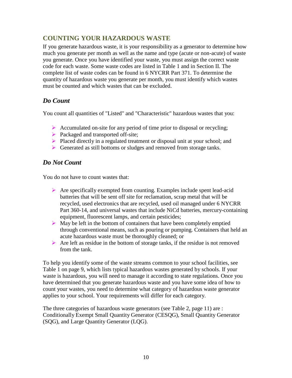# **COUNTING YOUR HAZARDOUS WASTE**

If you generate hazardous waste, it is your responsibility as a generator to determine how much you generate per month as well as the name and type (acute or non-acute) of waste you generate. Once you have identified your waste, you must assign the correct waste code for each waste. Some waste codes are listed in Table 1 and in Section II. The complete list of waste codes can be found in 6 NYCRR Part 371. To determine the quantity of hazardous waste you generate per month, you must identify which wastes must be counted and which wastes that can be excluded.

# *Do Count*

You count all quantities of "Listed" and "Characteristic" hazardous wastes that you:

- $\triangleright$  Accumulated on-site for any period of time prior to disposal or recycling;
- Packaged and transported off-site;
- $\triangleright$  Placed directly in a regulated treatment or disposal unit at your school; and
- Generated as still bottoms or sludges and removed from storage tanks.

# *Do Not Count*

You do not have to count wastes that:

- $\triangleright$  Are specifically exempted from counting. Examples include spent lead-acid batteries that will be sent off site for reclamation, scrap metal that will be recycled, used electronics that are recycled, used oil managed under 6 NYCRR Part 360-14, and universal wastes that include NiCd batteries, mercury-containing equipment, fluorescent lamps, and certain pesticides;
- $\triangleright$  May be left in the bottom of containers that have been completely emptied through conventional means, such as pouring or pumping. Containers that held an acute hazardous waste must be thoroughly cleaned; or
- $\triangleright$  Are left as residue in the bottom of storage tanks, if the residue is not removed from the tank.

To help you identify some of the waste streams common to your school facilities, see Table 1 on page 9, which lists typical hazardous wastes generated by schools. If your waste is hazardous, you will need to manage it according to state regulations. Once you have determined that you generate hazardous waste and you have some idea of how to count your wastes, you need to determine what category of hazardous waste generator applies to your school. Your requirements will differ for each category.

The three categories of hazardous waste generators (see Table 2, page 11) are : Conditionally Exempt Small Quantity Generator (CESQG), Small Quantity Generator (SQG), and Large Quantity Generator (LQG).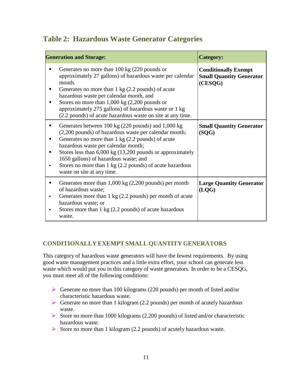# **Table 2: Hazardous Waste Generator Categories**

|        | <b>Generation and Storage:</b>                                                                                                                                                                                                                                                                                                                                                                                                        | <b>Category:</b>                                                          |
|--------|---------------------------------------------------------------------------------------------------------------------------------------------------------------------------------------------------------------------------------------------------------------------------------------------------------------------------------------------------------------------------------------------------------------------------------------|---------------------------------------------------------------------------|
| п      | Generates no more than $100 \text{ kg}$ (220 pounds or<br>approximately 27 gallons) of hazardous waste per calendar<br>month.<br>Generates no more than $1 \text{ kg}$ (2.2 pounds) of acute<br>hazardous waste per calendar month, and<br>Stores no more than $1,000 \text{ kg}$ (2,200 pounds or<br>approximately 275 gallons) of hazardous waste or 1 kg<br>(2.2 pounds) of acute hazardous waste on site at any time.             | <b>Conditionally Exempt</b><br><b>Small Quantity Generator</b><br>(CESQG) |
| ٠<br>п | Generates between 100 kg (220 pounds) and 1,000 kg<br>(2,200 pounds) of hazardous waste per calendar month;<br>Generates no more than $1 \text{ kg}$ (2.2 pounds) of acute<br>hazardous waste per calendar month;<br>Stores less than $6,000 \text{ kg}$ (13,200 pounds or approximately<br>1650 gallons) of hazardous waste; and<br>Stores no more than $1 \text{ kg}$ (2.2 pounds) of acute hazardous<br>waste on site at any time. | <b>Small Quantity Generator</b><br>(SQG)                                  |
| ٠      | Generates more than $1,000 \text{ kg}$ (2,200 pounds) per month<br>of hazardous waste;<br>Generates more than $1 \text{ kg}$ (2.2 pounds) per month of acute<br>hazardous waste; or<br>Stores more than 1 kg (2.2 pounds) of acute hazardous<br>waste.                                                                                                                                                                                | <b>Large Quantity Generator</b><br>(LOG)                                  |

# **CONDITIONALLY EXEMPT SMALL QUANTITY GENERATORS**

This category of hazardous waste generators will have the fewest requirements. By using good waste management practices and a little extra effort, your school can generate less waste which would put you in this category of waste generators. In order to be a CESQG, you must meet all of the following conditions:

- Generate no more than 100 kilograms (220 pounds) per month of listed and/or characteristic hazardous waste.
- Generate no more than 1 kilogram (2.2 pounds) per month of acutely hazardous waste.
- Store no more than 1000 kilograms  $(2,200$  pounds) of listed and/or characteristic hazardous waste.
- Store no more than 1 kilogram  $(2.2 \text{ pounds})$  of acutely hazardous waste.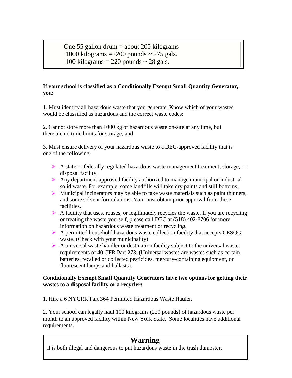One 55 gallon drum = about 200 kilograms 1000 kilograms  $=$  2200 pounds  $\sim$  275 gals. 100 kilograms  $= 220$  pounds  $\sim 28$  gals.

#### **If your school is classified as a Conditionally Exempt Small Quantity Generator, you:**

1. Must identify all hazardous waste that you generate. Know which of your wastes would be classified as hazardous and the correct waste codes;

2. Cannot store more than 1000 kg of hazardous waste on-site at any time, but there are no time limits for storage; and

3. Must ensure delivery of your hazardous waste to a DEC-approved facility that is one of the following:

- A state or federally regulated hazardous waste management treatment, storage, or disposal facility.
- Any department-approved facility authorized to manage municipal or industrial solid waste. For example, some landfills will take dry paints and still bottoms.
- $\triangleright$  Municipal incinerators may be able to take waste materials such as paint thinners, and some solvent formulations. You must obtain prior approval from these facilities.
- $\triangleright$  A facility that uses, reuses, or legitimately recycles the waste. If you are recycling or treating the waste yourself, please call DEC at (518) 402-8706 for more information on hazardous waste treatment or recycling.
- A permitted household hazardous waste collection facility that accepts CESQG waste. (Check with your municipality)
- $\triangleright$  A universal waste handler or destination facility subject to the universal waste requirements of 40 CFR Part 273. (Universal wastes are wastes such as certain batteries, recalled or collected pesticides, mercury-containing equipment, or fluorescent lamps and ballasts).

#### **Conditionally Exempt Small Quantity Generators have two options for getting their wastes to a disposal facility or a recycler:**

1. Hire a 6 NYCRR Part 364 Permitted Hazardous Waste Hauler.

2. Your school can legally haul 100 kilograms (220 pounds) of hazardous waste per month to an approved facility within New York State. Some localities have additional requirements.

# **Warning**

 $\overline{a}$ 

It is both illegal and dangerous to put hazardous waste in the trash dumpster.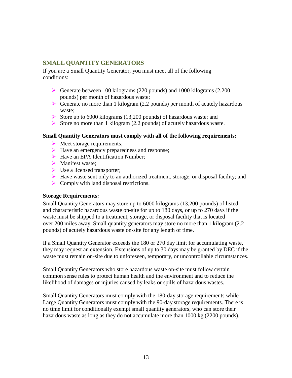### **SMALL QUANTITY GENERATORS**

If you are a Small Quantity Generator, you must meet all of the following conditions:

- Generate between 100 kilograms (220 pounds) and 1000 kilograms (2,200 pounds) per month of hazardous waste;
- Generate no more than 1 kilogram (2.2 pounds) per month of acutely hazardous waste;
- Store up to 6000 kilograms (13,200 pounds) of hazardous waste; and
- Store no more than 1 kilogram (2.2 pounds) of acutely hazardous waste.

#### **Small Quantity Generators must comply with all of the following requirements:**

- $\triangleright$  Meet storage requirements;
- $\blacktriangleright$  Have an emergency preparedness and response;
- $\triangleright$  Have an EPA Identification Number;
- Manifest waste:
- $\triangleright$  Use a licensed transporter;
- $\triangleright$  Have waste sent only to an authorized treatment, storage, or disposal facility; and
- $\triangleright$  Comply with land disposal restrictions.

#### **Storage Requirements:**

Small Quantity Generators may store up to 6000 kilograms (13,200 pounds) of listed and characteristic hazardous waste on-site for up to 180 days, or up to 270 days if the waste must be shipped to a treatment, storage, or disposal facility that is located over 200 miles away. Small quantity generators may store no more than 1 kilogram (2.2 pounds) of acutely hazardous waste on-site for any length of time.

If a Small Quantity Generator exceeds the 180 or 270 day limit for accumulating waste, they may request an extension. Extensions of up to 30 days may be granted by DEC if the waste must remain on-site due to unforeseen, temporary, or uncontrollable circumstances.

Small Quantity Generators who store hazardous waste on-site must follow certain common sense rules to protect human health and the environment and to reduce the likelihood of damages or injuries caused by leaks or spills of hazardous wastes.

Small Quantity Generators must comply with the 180-day storage requirements while Large Quantity Generators must comply with the 90-day storage requirements. There is no time limit for conditionally exempt small quantity generators, who can store their hazardous waste as long as they do not accumulate more than 1000 kg (2200 pounds).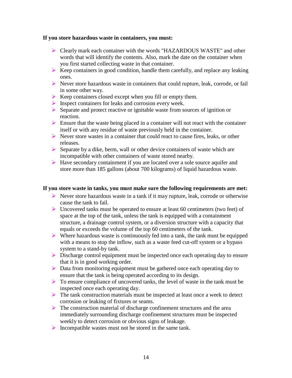#### **If you store hazardous waste in containers, you must:**

- Clearly mark each container with the words "HAZARDOUS WASTE" and other words that will identify the contents. Also, mark the date on the container when you first started collecting waste in that container.
- $\triangleright$  Keep containers in good condition, handle them carefully, and replace any leaking ones.
- Never store hazardous waste in containers that could rupture, leak, corrode, or fail in some other way.
- $\triangleright$  Keep containers closed except when you fill or empty them.
- $\triangleright$  Inspect containers for leaks and corrosion every week.
- $\triangleright$  Separate and protect reactive or ignitable waste from sources of ignition or reaction.
- $\triangleright$  Ensure that the waste being placed in a container will not react with the container itself or with any residue of waste previously held in the container.
- Never store wastes in a container that could react to cause fires, leaks, or other releases.
- $\triangleright$  Separate by a dike, berm, wall or other device containers of waste which are incompatible with other containers of waste stored nearby.
- Have secondary containment if you are located over a sole source aquifer and store more than 185 gallons (about 700 kilograms) of liquid hazardous waste.

#### **If you store waste in tanks, you must make sure the following requirements are met:**

- $\triangleright$  Never store hazardous waste in a tank if it may rupture, leak, corrode or otherwise cause the tank to fail.
- Uncovered tanks must be operated to ensure at least 60 centimeters (two feet) of space at the top of the tank, unless the tank is equipped with a containment structure, a drainage control system, or a diversion structure with a capacity that equals or exceeds the volume of the top 60 centimeters of the tank.
- $\triangleright$  Where hazardous waste is continuously fed into a tank, the tank must be equipped with a means to stop the inflow, such as a waste feed cut-off system or a bypass system to a stand-by tank.
- $\triangleright$  Discharge control equipment must be inspected once each operating day to ensure that it is in good working order.
- Data from monitoring equipment must be gathered once each operating day to ensure that the tank is being operated according to its design.
- $\triangleright$  To ensure compliance of uncovered tanks, the level of waste in the tank must be inspected once each operating day.
- $\triangleright$  The tank construction materials must be inspected at least once a week to detect corrosion or leaking of fixtures or seams.
- $\triangleright$  The construction material of discharge confinement structures and the area immediately surrounding discharge confinement structures must be inspected weekly to detect corrosion or obvious signs of leakage.
- $\triangleright$  Incompatible wastes must not be stored in the same tank.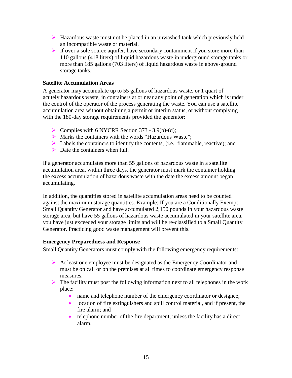- $\triangleright$  Hazardous waste must not be placed in an unwashed tank which previously held an incompatible waste or material.
- If over a sole source aquifer, have secondary containment if you store more than 110 gallons (418 liters) of liquid hazardous waste in underground storage tanks or more than 185 gallons (703 liters) of liquid hazardous waste in above-ground storage tanks.

#### **Satellite Accumulation Areas**

A generator may accumulate up to 55 gallons of hazardous waste, or 1 quart of acutely hazardous waste, in containers at or near any point of generation which is under the control of the operator of the process generating the waste. You can use a satellite accumulation area without obtaining a permit or interim status, or without complying with the 180-day storage requirements provided the generator:

- Complies with 6 NYCRR Section 373 3.9(b)**-**(d);
- Marks the containers with the words "Hazardous Waste";
- $\blacktriangleright$  Labels the containers to identify the contents, (i.e., flammable, reactive); and
- $\triangleright$  Date the containers when full.

If a generator accumulates more than 55 gallons of hazardous waste in a satellite accumulation area, within three days, the generator must mark the container holding the excess accumulation of hazardous waste with the date the excess amount began accumulating.

In addition, the quantities stored in satellite accumulation areas need to be counted against the maximum storage quantities. Example: If you are a Conditionally Exempt Small Quantity Generator and have accumulated 2,150 pounds in your hazardous waste storage area, but have 55 gallons of hazardous waste accumulated in your satellite area, you have just exceeded your storage limits and will be re-classified to a Small Quantity Generator. Practicing good waste management will prevent this.

#### **Emergency Preparedness and Response**

Small Quantity Generators must comply with the following emergency requirements:

- At least one employee must be designated as the Emergency Coordinator and must be on call or on the premises at all times to coordinate emergency response measures.
- $\triangleright$  The facility must post the following information next to all telephones in the work place:
	- name and telephone number of the emergency coordinator or designee;
	- location of fire extinguishers and spill control material, and if present, the fire alarm; and
	- telephone number of the fire department, unless the facility has a direct alarm.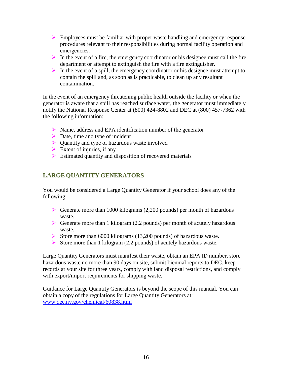- $\triangleright$  Employees must be familiar with proper waste handling and emergency response procedures relevant to their responsibilities during normal facility operation and emergencies.
- In the event of a fire, the emergency coordinator or his designee must call the fire department or attempt to extinguish the fire with a fire extinguisher.
- In the event of a spill, the emergency coordinator or his designee must attempt to contain the spill and, as soon as is practicable, to clean up any resultant contamination.

In the event of an emergency threatening public health outside the facility or when the generator is aware that a spill has reached surface water, the generator must immediately notify the National Response Center at (800) 424-8802 and DEC at (800) 457-7362 with the following information:

- $\triangleright$  Name, address and EPA identification number of the generator
- $\triangleright$  Date, time and type of incident
- ▶ Quantity and type of hazardous waste involved
- $\triangleright$  Extent of injuries, if any
- $\triangleright$  Estimated quantity and disposition of recovered materials

### **LARGE QUANTITY GENERATORS**

You would be considered a Large Quantity Generator if your school does any of the following:

- Generate more than 1000 kilograms  $(2,200 \text{ pounds})$  per month of hazardous waste.
- Generate more than 1 kilogram (2.2 pounds) per month of acutely hazardous waste.
- Store more than 6000 kilograms (13,200 pounds) of hazardous waste.
- Store more than 1 kilogram (2.2 pounds) of acutely hazardous waste.

Large Quantity Generators must manifest their waste, obtain an EPA ID number, store hazardous waste no more than 90 days on site, submit biennial reports to DEC, keep records at your site for three years, comply with land disposal restrictions, and comply with export/import requirements for shipping waste.

Guidance for Large Quantity Generators is beyond the scope of this manual. You can obtain a copy of the regulations for Large Quantity Generators at: [www.dec.ny.gov/chemical/60838.html](http://www.dec.ny.gov/chemical/60838.html)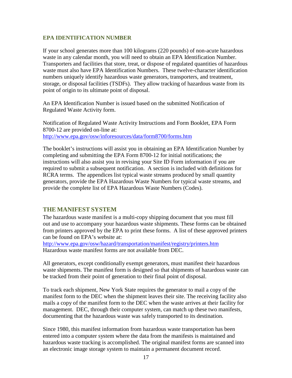#### **EPA IDENTIFICATION NUMBER**

If your school generates more than 100 kilograms (220 pounds) of non-acute hazardous waste in any calendar month, you will need to obtain an EPA Identification Number. Transporters and facilities that store, treat, or dispose of regulated quantities of hazardous waste must also have EPA Identification Numbers. These twelve-character identification numbers uniquely identify hazardous waste generators, transporters, and treatment, storage, or disposal facilities (TSDFs). They allow tracking of hazardous waste from its point of origin to its ultimate point of disposal.

An EPA Identification Number is issued based on the submitted Notification of Regulated Waste Activity form.

Notification of Regulated Waste Activity Instructions and Form Booklet, EPA Form 8700-12 are provided on-line at: <http://www.epa.gov/osw/inforesources/data/form8700/forms.htm>

The booklet's instructions will assist you in obtaining an EPA Identification Number by completing and submitting the EPA Form 8700-12 for initial notifications; the instructions will also assist you in revising your Site ID Form information if you are required to submit a subsequent notification. A section is included with definitions for RCRA terms. The appendices list typical waste streams produced by small quantity generators, provide the EPA Hazardous Waste Numbers for typical waste streams, and provide the complete list of EPA Hazardous Waste Numbers (Codes).

#### **THE MANIFEST SYSTEM**

The hazardous waste manifest is a multi-copy shipping document that you must fill out and use to accompany your hazardous waste shipments. These forms can be obtained from printers approved by the EPA to print these forms. A list of these approved printers can be found on EPA's website at:

<http://www.epa.gov/osw/hazard/transportation/manifest/registry/printers.htm> Hazardous waste manifest forms are not available from DEC.

All generators, except conditionally exempt generators, must manifest their hazardous waste shipments. The manifest form is designed so that shipments of hazardous waste can be tracked from their point of generation to their final point of disposal.

To track each shipment, New York State requires the generator to mail a copy of the manifest form to the DEC when the shipment leaves their site. The receiving facility also mails a copy of the manifest form to the DEC when the waste arrives at their facility for management. DEC, through their computer system, can match up these two manifests, documenting that the hazardous waste was safely transported to its destination.

Since 1980, this manifest information from hazardous waste transportation has been entered into a computer system where the data from the manifests is maintained and hazardous waste tracking is accomplished. The original manifest forms are scanned into an electronic image storage system to maintain a permanent document record.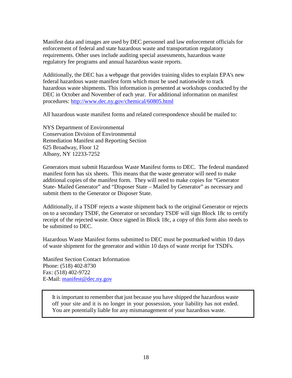Manifest data and images are used by DEC personnel and law enforcement officials for enforcement of federal and state hazardous waste and transportation regulatory requirements. Other uses include auditing special assessments, hazardous waste regulatory fee programs and annual hazardous waste reports.

Additionally, the DEC has a webpage that provides training slides to explain EPA's new federal hazardous waste manifest form which must be used nationwide to track hazardous waste shipments. This information is presented at workshops conducted by the DEC in October and November of each year. For additional information on manifest procedures:<http://www.dec.ny.gov/chemical/60805.html>

All hazardous waste manifest forms and related correspondence should be mailed to:

NYS Department of Environmental Conservation Division of Environmental Remediation Manifest and Reporting Section 625 Broadway, Floor 12 Albany, NY 12233-7252

Generators must submit Hazardous Waste Manifest forms to DEC. The federal mandated manifest form has six sheets. This means that the waste generator will need to make additional copies of the manifest form. They will need to make copies for "Generator State- Mailed Generator" and "Disposer State – Mailed by Generator" as necessary and submit them to the Generator or Disposer State.

Additionally, if a TSDF rejects a waste shipment back to the original Generator or rejects on to a secondary TSDF, the Generator or secondary TSDF will sign Block 18c to certify receipt of the rejected waste. Once signed in Block 18c, a copy of this form also needs to be submitted to DEC.

Hazardous Waste Manifest forms submitted to DEC must be postmarked within 10 days of waste shipment for the generator and within 10 days of waste receipt for TSDFs.

Manifest Section Contact Information Phone: (518) 402-8730 Fax: (518) 402-9722 E-Mail: [manifest@dec.ny.gov](mailto:manifest@dec.ny.gov)

> It is important to remember that just because you have shipped the hazardous waste off your site and it is no longer in your possession, your liability has not ended. You are potentially liable for any mismanagement of your hazardous waste.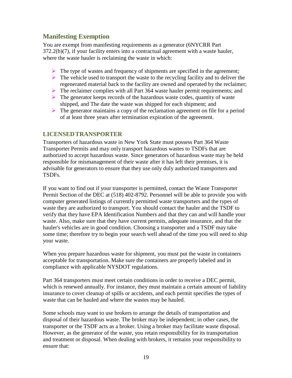# **Manifesting Exemption**

You are exempt from manifesting requirements as a generator (6NYCRR Part 372.2(b)(7), if your facility enters into a contractual agreement with a waste hauler, where the waste hauler is reclaiming the waste in which:

- $\triangleright$  The type of wastes and frequency of shipments are specified in the agreement;
- $\triangleright$  The vehicle used to transport the waste to the recycling facility and to deliver the regenerated material back to the facility are owned and operated by the reclaimer;
- $\triangleright$  The reclaimer complies with all Part 364 waste hauler permit requirements; and
- $\triangleright$  The generator keeps records of the hazardous waste codes, quantity of waste shipped, and The date the waste was shipped for each shipment; and
- $\triangleright$  The generator maintains a copy of the reclamation agreement on file for a period of at least three years after termination expiration of the agreement.

#### **LICENSEDTRANSPORTER**

Transporters of hazardous waste in New York State must possess Part 364 Waste Transporter Permits and may only transport hazardous wastes to TSDFs that are authorized to accept hazardous waste. Since generators of hazardous waste may be held responsible for mismanagement of their waste after it has left their premises, it is advisable for generators to ensure that they use only duly authorized transporters and TSDFs.

If you want to find out if your transporter is permitted, contact the Waste Transporter Permit Section of the DEC at (518) 402-8792. Personnel will be able to provide you with computer generated listings of currently permitted waste transporters and the types of waste they are authorized to transport. You should contact the hauler and the TSDF to verify that they have EPA Identification Numbers and that they can and will handle your waste. Also, make sure that they have current permits, adequate insurance, and that the hauler's vehicles are in good condition. Choosing a transporter and a TSDF may take some time; therefore try to begin your search well ahead of the time you will need to ship your waste.

When you prepare hazardous waste for shipment, you must put the waste in containers acceptable for transportation. Make sure the containers are properly labeled and in compliance with applicable NYSDOT regulations.

Part 364 transporters must meet certain conditions in order to receive a DEC permit, which is renewed annually. For instance, they must maintain a certain amount of liability insurance to cover cleanup of spills or accidents, and each permit specifies the types of waste that can be hauled and where the wastes may be hauled.

Some schools may want to use brokers to arrange the details of transportation and disposal of their hazardous waste. The broker may be independent; in other cases, the transporter or the TSDF acts as a broker. Using a broker may facilitate waste disposal. However, as the generator of the waste, you retain responsibility for its transportation and treatment or disposal. When dealing with brokers, it remains your responsibility to ensure that: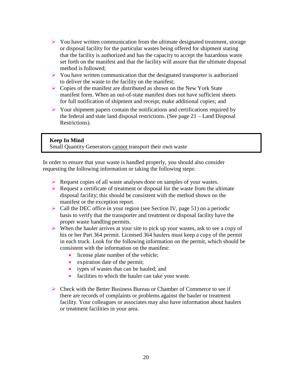- $\triangleright$  You have written communication from the ultimate designated treatment, storage or disposal facility for the particular wastes being offered for shipment stating that the facility is authorized and has the capacity to accept the hazardous waste set forth on the manifest and that the facility will assure that the ultimate disposal method is followed;
- $\triangleright$  You have written communication that the designated transporter is authorized to deliver the waste to the facility on the manifest;
- $\triangleright$  Copies of the manifest are distributed as shown on the New York State manifest form. When an out-of-state manifest does not have sufficient sheets for full notification of shipment and receipt, make additional copies; and
- $\triangleright$  Your shipment papers contain the notifications and certifications required by the federal and state land disposal restrictions. (See page 21 – Land Disposal Restrictions).

#### **Keep In Mind** Small Quantity Generators cannot transport their own waste

In order to ensure that your waste is handled properly, you should also consider requesting the following information or taking the following steps:

- Request copies of all waste analyses done on samples of your wastes.
- $\triangleright$  Request a certificate of treatment or disposal for the waste from the ultimate disposal facility; this should be consistent with the method shown on the manifest or the exception report.
- $\triangleright$  Call the DEC office in your region (see Section IV, page 51) on a periodic basis to verify that the transporter and treatment or disposal facility have the proper waste handling permits.
- $\triangleright$  When the hauler arrives at your site to pick up your wastes, ask to see a copy of his or her Part 364 permit. Licensed 364 haulers must keep a copy of the permit in each truck. Look for the following information on the permit, which should be consistent with the information on the manifest:
	- license plate number of the vehicle;
	- expiration date of the permit;
	- types of wastes that can be hauled; and
	- facilities to which the hauler can take your waste.
- Check with the Better Business Bureau or Chamber of Commerce to see if there are records of complaints or problems against the hauler or treatment facility. Your colleagues or associates may also have information about haulers or treatment facilities in your area.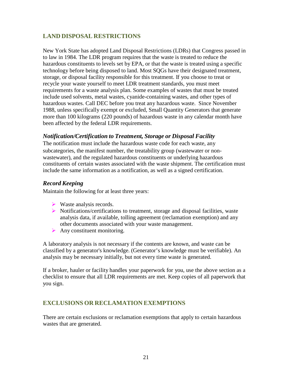# **LAND DISPOSAL RESTRICTIONS**

New York State has adopted Land Disposal Restrictions (LDRs) that Congress passed in to law in 1984. The LDR program requires that the waste is treated to reduce the hazardous constituents to levels set by EPA, or that the waste is treated using a specific technology before being disposed to land. Most SQGs have their designated treatment, storage, or disposal facility responsible for this treatment. If you choose to treat or recycle your waste yourself to meet LDR treatment standards, you must meet requirements for a waste analysis plan. Some examples of wastes that must be treated include used solvents, metal wastes, cyanide-containing wastes, and other types of hazardous wastes. Call DEC before you treat any hazardous waste. Since November 1988, unless specifically exempt or excluded, Small Quantity Generators that generate more than 100 kilograms (220 pounds) of hazardous waste in any calendar month have been affected by the federal LDR requirements.

#### *Notification/Certification to Treatment, Storage or Disposal Facility*

The notification must include the hazardous waste code for each waste, any subcategories, the manifest number, the treatability group (wastewater or nonwastewater), and the regulated hazardous constituents or underlying hazardous constituents of certain wastes associated with the waste shipment. The certification must include the same information as a notification, as well as a signed certification.

#### *Record Keeping*

Maintain the following for at least three years:

- $\triangleright$  Waste analysis records.
- $\triangleright$  Notifications/certifications to treatment, storage and disposal facilities, waste analysis data, if available, tolling agreement (reclamation exemption) and any other documents associated with your waste management.
- $\triangleright$  Any constituent monitoring.

A laboratory analysis is not necessary if the contents are known, and waste can be classified by a generator's knowledge. (Generator's knowledge must be verifiable). An analysis may be necessary initially, but not every time waste is generated.

If a broker, hauler or facility handles your paperwork for you, use the above section as a checklist to ensure that all LDR requirements are met. Keep copies of all paperwork that you sign.

#### **EXCLUSIONS OR RECLAMATION EXEMPTIONS**

There are certain exclusions or reclamation exemptions that apply to certain hazardous wastes that are generated.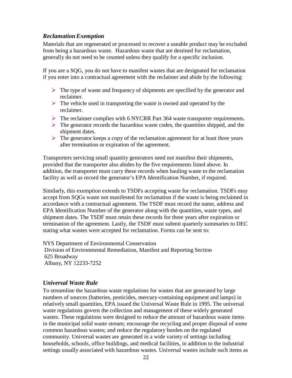#### *ReclamationExemption*

Materials that are regenerated or processed to recover a useable product may be excluded from being a hazardous waste. Hazardous waste that are destined for reclamation, generally do not need to be counted unless they qualify for a specific inclusion.

If you are a SQG, you do not have to manifest wastes that are designated for reclamation if you enter into a contractual agreement with the reclaimer and abide by the following:

- $\triangleright$  The type of waste and frequency of shipments are specified by the generator and reclaimer.
- $\triangleright$  The vehicle used in transporting the waste is owned and operated by the reclaimer.
- The reclaimer complies with 6 NYCRR Part 364 waste transporter requirements.
- $\triangleright$  The generator records the hazardous waste codes, the quantities shipped, and the shipment dates.
- $\triangleright$  The generator keeps a copy of the reclamation agreement for at least three years after termination or expiration of the agreement.

Transporters servicing small quantity generators need not manifest their shipments, provided that the transporter also abides by the five requirements listed above. In addition, the transporter must carry these records when hauling waste to the reclamation facility as well as record the generator's EPA Identification Number, if required.

Similarly, this exemption extends to TSDFs accepting waste for reclamation. TSDFs may accept from SQGs waste not manifested for reclamation if the waste is being reclaimed in accordance with a contractual agreement. The TSDF must record the name, address and EPA Identification Number of the generator along with the quantities, waste types, and shipment dates. The TSDF must retain these records for three years after expiration or termination of the agreement. Lastly, the TSDF must submit quarterly summaries to DEC stating what wastes were accepted for reclamation. Forms can be sent to:

NYS Department of Environmental Conservation

Division of Environmental Remediation, Manifest and Reporting Section 625 Broadway Albany, NY 12233-7252

#### *Universal Waste Rule*

To streamline the hazardous waste regulations for wastes that are generated by large numbers of sources (batteries, pesticides, mercury-containing equipment and lamps) in relatively small quantities, EPA issued the Universal Waste Rule in 1995. The universal waste regulations govern the collection and management of these widely generated wastes. These regulations were designed to reduce the amount of hazardous waste items in the municipal solid waste stream; encourage the recycling and proper disposal of some common hazardous wastes; and reduce the regulatory burden on the regulated community. Universal wastes are generated in a wide variety of settings including households, schools, office buildings, and medical facilities, in addition to the industrial settings usually associated with hazardous wastes. Universal wastes include such items as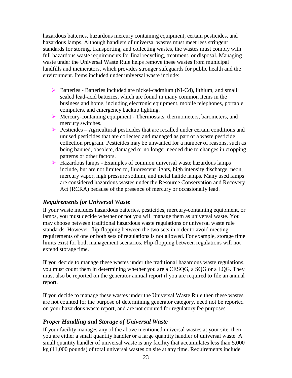hazardous batteries, hazardous mercury containing equipment, certain pesticides, and hazardous lamps. Although handlers of universal wastes must meet less stringent standards for storing, transporting, and collecting wastes, the wastes must comply with full hazardous waste requirements for final recycling, treatment, or disposal. Managing waste under the Universal Waste Rule helps remove these wastes from municipal landfills and incinerators, which provides stronger safeguards for public health and the environment. Items included under universal waste include:

- $\triangleright$  Batteries Batteries included are nickel-cadmium (Ni-Cd), lithium, and small sealed lead-acid batteries, which are found in many common items in the business and home, including electronic equipment, mobile telephones, portable computers, and emergency backup lighting.
- Mercury-containing equipment Thermostats, thermometers, barometers, and mercury switches.
- $\triangleright$  Pesticides Agricultural pesticides that are recalled under certain conditions and unused pesticides that are collected and managed as part of a waste pesticide collection program. Pesticides may be unwanted for a number of reasons, such as being banned, obsolete, damaged or no longer needed due to changes in cropping patterns or other factors.
- $\triangleright$  Hazardous lamps Examples of common universal waste hazardous lamps include, but are not limited to, fluorescent lights, high intensity discharge, neon, mercury vapor, high pressure sodium, and metal halide lamps. Many used lamps are considered hazardous wastes under the Resource Conservation and Recovery Act (RCRA) because of the presence of mercury or occasionally lead.

#### *Requirements for Universal Waste*

If your waste includes hazardous batteries, pesticides, mercury-containing equipment, or lamps, you must decide whether or not you will manage them as universal waste. You may choose between traditional hazardous waste regulations or universal waste rule standards. However, flip-flopping between the two sets in order to avoid meeting requirements of one or both sets of regulations is not allowed. For example, storage time limits exist for both management scenarios. Flip-flopping between regulations will not extend storage time.

If you decide to manage these wastes under the traditional hazardous waste regulations, you must count them in determining whether you are a CESQG, a SQG or a LQG. They must also be reported on the generator annual report if you are required to file an annual report.

If you decide to manage these wastes under the Universal Waste Rule then these wastes are not counted for the purpose of determining generator category, need not be reported on your hazardous waste report, and are not counted for regulatory fee purposes.

#### *Proper Handling and Storage of Universal Waste*

If your facility manages any of the above mentioned universal wastes at your site, then you are either a small quantity handler or a large quantity handler of universal waste. A small quantity handler of universal waste is any facility that accumulates less than 5,000 kg (11,000 pounds) of total universal wastes on site at any time. Requirements include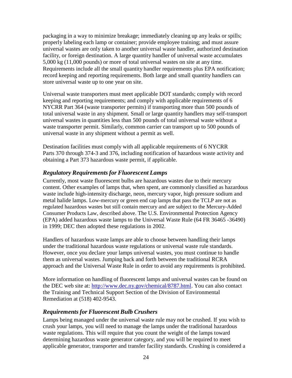packaging in a way to minimize breakage; immediately cleaning up any leaks or spills; properly labeling each lamp or container; provide employee training; and must assure universal wastes are only taken to another universal waste handler, authorized destination facility, or foreign destination. A large quantity handler of universal waste accumulates 5,000 kg (11,000 pounds) or more of total universal wastes on site at any time. Requirements include all the small quantity handler requirements plus EPA notification; record keeping and reporting requirements. Both large and small quantity handlers can store universal waste up to one year on site.

Universal waste transporters must meet applicable DOT standards; comply with record keeping and reporting requirements; and comply with applicable requirements of 6 NYCRR Part 364 (waste transporter permits) if transporting more than 500 pounds of total universal waste in any shipment. Small or large quantity handlers may self-transport universal wastes in quantities less than 500 pounds of total universal waste without a waste transporter permit. Similarly, common carrier can transport up to 500 pounds of universal waste in any shipment without a permit as well.

Destination facilities must comply with all applicable requirements of 6 NYCRR Parts 370 through 374-3 and 376, including notification of hazardous waste activity and obtaining a Part 373 hazardous waste permit, if applicable.

#### *Regulatory Requirements for Fluorescent Lamps*

Currently, most waste fluorescent bulbs are hazardous wastes due to their mercury content. Other examples of lamps that, when spent, are commonly classified as hazardous waste include high-intensity discharge, neon, mercury vapor, high pressure sodium and metal halide lamps. Low-mercury or green end cap lamps that pass the TCLP are not as regulated hazardous wastes but still contain mercury and are subject to the Mercury-Added Consumer Products Law, described above. The U.S. Environmental Protection Agency (EPA) added hazardous waste lamps to the Universal Waste Rule (64 FR 36465 -36490) in 1999; DEC then adopted these regulations in 2002.

Handlers of hazardous waste lamps are able to choose between handling their lamps under the traditional hazardous waste regulations or universal waste rule standards. However, once you declare your lamps universal wastes, you must continue to handle them as universal wastes. Jumping back and forth between the traditional RCRA approach and the Universal Waste Rule in order to avoid any requirements is prohibited.

More information on handling of fluorescent lamps and universal wastes can be found on the DEC web site at: [http://www.dec.ny.gov/chemical/8787.html.](http://www.dec.ny.gov/chemical/8787.html) You can also contact the Training and Technical Support Section of the Division of Environmental Remediation at (518) 402-9543.

#### *Requirements for Fluorescent Bulb Crushers*

Lamps being managed under the universal waste rule may not be crushed. If you wish to crush your lamps, you will need to manage the lamps under the traditional hazardous waste regulations. This will require that you count the weight of the lamps toward determining hazardous waste generator category, and you will be required to meet applicable generator, transporter and transfer facility standards. Crushing is considered a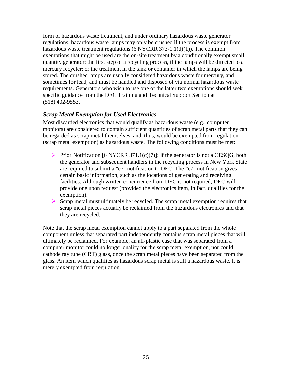form of hazardous waste treatment, and under ordinary hazardous waste generator regulations, hazardous waste lamps may only be crushed if the process is exempt from hazardous waste treatment regulations (6 NYCRR  $373-1.1(d)(1)$ ). The common exemptions that might be used are the on-site treatment by a conditionally exempt small quantity generator; the first step of a recycling process, if the lamps will be directed to a mercury recycler; or the treatment in the tank or container in which the lamps are being stored. The crushed lamps are usually considered hazardous waste for mercury, and sometimes for lead, and must be handled and disposed of via normal hazardous waste requirements. Generators who wish to use one of the latter two exemptions should seek specific guidance from the DEC Training and Technical Support Section at (518) 402-9553.

#### *Scrap Metal Exemption for Used Electronics*

Most discarded electronics that would qualify as hazardous waste (e.g., computer monitors) are considered to contain sufficient quantities of scrap metal parts that they can be regarded as scrap metal themselves, and, thus, would be exempted from regulation (scrap metal exemption) as hazardous waste. The following conditions must be met:

- Prior Notification [6 NYCRR 371.1(c)(7)]: If the generator is not a CESQG, both the generator and subsequent handlers in the recycling process in New York State are required to submit a "c7" notification to DEC. The "c7" notification gives certain basic information, such as the locations of generating and receiving facilities. Although written concurrence from DEC is not required, DEC will provide one upon request (provided the electronics item, in fact, qualifies for the exemption).
- $\triangleright$  Scrap metal must ultimately be recycled. The scrap metal exemption requires that scrap metal pieces actually be reclaimed from the hazardous electronics and that they are recycled.

Note that the scrap metal exemption cannot apply to a part separated from the whole component unless that separated part independently contains scrap metal pieces that will ultimately be reclaimed. For example, an all-plastic case that was separated from a computer monitor could no longer qualify for the scrap metal exemption, nor could cathode ray tube (CRT) glass, once the scrap metal pieces have been separated from the glass. An item which qualifies as hazardous scrap metal is still a hazardous waste. It is merely exempted from regulation.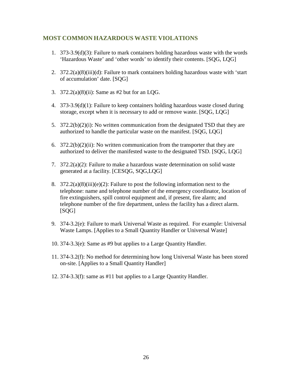### **MOST COMMON HAZARDOUS WASTE VIOLATIONS**

- 1. 373-3.9(d)(3): Failure to mark containers holding hazardous waste with the words 'Hazardous Waste' and 'other words' to identify their contents. [SQG, LQG]
- 2. 372.2(a)(8)(iii)(d): Failure to mark containers holding hazardous waste with 'start of accumulation' date. [SQG]
- 3. 372.2(a)(8)(ii): Same as #2 but for an LQG.
- 4. 373-3.9(d)(1): Failure to keep containers holding hazardous waste closed during storage, except when it is necessary to add or remove waste. [SQG, LQG]
- 5. 372.2(b)(2)(i): No written communication from the designated TSD that they are authorized to handle the particular waste on the manifest. [SQG, LQG]
- 6.  $372.2(b)(2)(ii)$ : No written communication from the transporter that they are authorized to deliver the manifested waste to the designated TSD. [SQG, LQG]
- 7. 372.2(a)(2): Failure to make a hazardous waste determination on solid waste generated at a facility. [CESQG, SQG,LQG]
- 8.  $372.2(a)(8)(iii)(e)(2)$ : Failure to post the following information next to the telephone: name and telephone number of the emergency coordinator, location of fire extinguishers, spill control equipment and, if present, fire alarm; and telephone number of the fire department, unless the facility has a direct alarm. [SQG]
- 9. 374-3.2(e): Failure to mark Universal Waste as required. For example: Universal Waste Lamps. [Applies to a Small Quantity Handler or Universal Waste]
- 10. 374-3.3(e): Same as #9 but applies to a Large Quantity Handler.
- 11. 374-3.2(f): No method for determining how long Universal Waste has been stored on-site. [Applies to a Small Quantity Handler]
- 12. 374-3.3(f): same as #11 but applies to a Large Quantity Handler.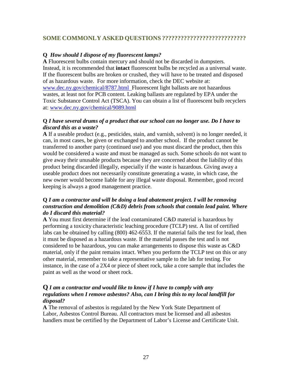#### **SOME COMMONLY ASKED QUESTIONS ???????????????????????????**

#### **Q** *How should I dispose of my fluorescent lamps?*

**A** Fluorescent bulbs contain mercury and should not be discarded in dumpsters. Instead, it is recommended that **intact** fluorescent bulbs be recycled as a universal waste. If the fluorescent bulbs are broken or crushed, they will have to be treated and disposed of as hazardous waste. For more information, check the DEC website at: [www.dec.ny.gov/chemical/8787.html F](http://www.dec.ny.gov/chemical/8787.html)luorescent light ballasts are not hazardous wastes, at least not for PCB content. Leaking ballasts are regulated by EPA under the Toxic Substance Control Act (TSCA). You can obtain a list of fluorescent bulb recyclers at: [www.dec.ny.gov/chemical/9089.html](http://www.dec.ny.gov/chemical/9089.html)

#### **Q** *I have several drums of a product that our school can no longer use. Do I have to discard this as a waste?*

**A** If a useable product (e.g., pesticides, stain, and varnish, solvent) is no longer needed, it can, in most cases, be given or exchanged to another school. If the product cannot be transferred to another party (continued use) and you must discard the product, then this would be considered a waste and must be managed as such. Some schools do not want to give away their unusable products because they are concerned about the liability of this product being discarded illegally, especially if the waste is hazardous. Giving away a useable product does not necessarily constitute generating a waste, in which case, the new owner would become liable for any illegal waste disposal. Remember, good record keeping is always a good management practice.

#### **Q** *I am a contractor and will be doing a lead abatement project. I will be removing construction and demolition (C&D) debris from schools that contain lead paint. Where do I discard this material?*

**A** You must first determine if the lead contaminated C&D material is hazardous by performing a toxicity characteristic leaching procedure (TCLP) test. A list of certified labs can be obtained by calling (800) 462-6553. If the material fails the test for lead, then it must be disposed as a hazardous waste. If the material passes the test and is not considered to be hazardous, you can make arrangements to dispose this waste as C&D material, only if the paint remains intact. When you perform the TCLP test on this or any other material, remember to take a representative sample to the lab for testing. For instance, in the case of a 2X4 or piece of sheet rock, take a core sample that includes the paint as well as the wood or sheet rock.

#### **Q** *I am a contractor and would like to know if I have to comply with any regulations when I remove asbestos? Also, can I bring this to my local landfill for disposal?*

**A** The removal of asbestos is regulated by the New York State Department of Labor, Asbestos Control Bureau. All contractors must be licensed and all asbestos handlers must be certified by the Department of Labor's License and Certificate Unit.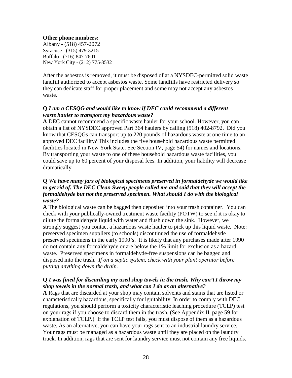#### **Other phone numbers:**

Albany - (518) 457-2072 Syracuse - (315) 479-3215 Buffalo - (716) 847-7601 New York City - (212) 775-3532

After the asbestos is removed, it must be disposed of at a NYSDEC-permitted solid waste landfill authorized to accept asbestos waste. Some landfills have restricted delivery so they can dedicate staff for proper placement and some may not accept any asbestos waste.

#### **Q** *I am a CESQG and would like to know if DEC could recommend a different waste hauler to transport my hazardous waste?*

**A** DEC cannot recommend a specific waste hauler for your school. However, you can obtain a list of NYSDEC approved Part 364 haulers by calling (518) 402-8792. Did you know that CESQGs can transport up to 220 pounds of hazardous waste at one time to an approved DEC facility? This includes the five household hazardous waste permitted facilities located in New York State. See Section IV, page 54) for names and locations. By transporting your waste to one of these household hazardous waste facilities, you could save up to 60 percent of your disposal fees. In addition, your liability will decrease dramatically.

#### **Q** *We have many jars of biological specimens preserved in formaldehyde we would like to get rid of. The DEC Clean Sweep people called me and said that they will accept the formaldehyde but not the preserved specimen. What should I do with the biological waste?*

**A** The biological waste can be bagged then deposited into your trash container. You can check with your publically-owned treatment waste facility (POTW) to see if it is okay to dilute the formaldehyde liquid with water and flush down the sink. However, we strongly suggest you contact a hazardous waste hauler to pick up this liquid waste. Note: preserved specimen suppliers (to schools) discontinued the use of formaldehyde preserved specimens in the early 1990's. It is likely that any purchases made after 1990 do not contain any formaldehyde or are below the 1% limit for exclusion as a hazard waste. Preserved specimens in formaldehyde-free suspensions can be bagged and disposed into the trash*. If on a septic system, check with your plant operator before putting anything down the drain*.

#### **Q** *I was fined for discarding my used shop towels in the trash. Why can't I throw my shop towels in the normal trash, and what can I do as an alternative?*

**A** Rags that are discarded at your shop may contain solvents and stains that are listed or characteristically hazardous, specifically for ignitability. In order to comply with DEC regulations, you should perform a toxicity characteristic leaching procedure (TCLP) test on your rags if you choose to discard them in the trash. (See Appendix II, page 59 for explanation of TCLP.) If the TCLP test fails, you must dispose of them as a hazardous waste. As an alternative, you can have your rags sent to an industrial laundry service. Your rags must be managed as a hazardous waste until they are placed on the laundry truck. In addition, rags that are sent for laundry service must not contain any free liquids.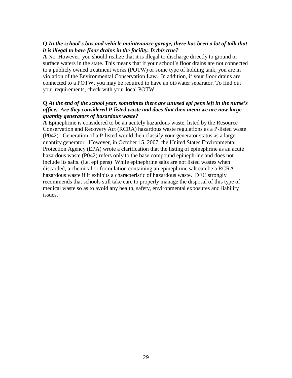#### **Q** *In the school's bus and vehicle maintenance garage, there has been a lot of talk that it is illegal to have floor drains in the facility. Is this true?*

**A** No. However, you should realize that it is illegal to discharge directly to ground or surface waters in the state. This means that if your school's floor drains are not connected to a publicly owned treatment works (POTW) or some type of holding tank, you are in violation of the Environmental Conservation Law. In addition, if your floor drains are connected to a POTW, you may be required to have an oil/water separator. To find out your requirements, check with your local POTW.

#### **Q** *At the end of the school year, sometimes there are unused epi pens left in the nurse's office. Are they considered P-listed waste and does that then mean we are now large quantity generators of hazardous waste?*

**A** Epinephrine is considered to be an acutely hazardous waste, listed by the Resource Conservation and Recovery Act (RCRA) hazardous waste regulations as a P-listed waste (P042). Generation of a P-listed would then classify your generator status as a large quantity generator. However, in October 15, 2007, the United States Environmental Protection Agency (EPA) wrote a clarification that the listing of epinephrine as an acute hazardous waste (P042) refers only to the base compound epinephrine and does not include its salts. (i.e. epi pens) While epinephrine salts are not listed wastes when discarded, a chemical or formulation containing an epinephrine salt can be a RCRA hazardous waste if it exhibits a characteristic of hazardous waste. DEC strongly recommends that schools still take care to properly manage the disposal of this type of medical waste so as to avoid any health, safety, environmental exposures and liability issues.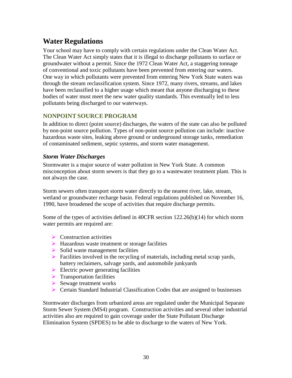# <span id="page-29-0"></span>**Water Regulations**

Your school may have to comply with certain regulations under the Clean Water Act. The Clean Water Act simply states that it is illegal to discharge pollutants to surface or groundwater without a permit. Since the 1972 Clean Water Act, a staggering tonnage of conventional and toxic pollutants have been prevented from entering our waters. One way in which pollutants were prevented from entering New York State waters was through the stream reclassification system. Since 1972, many rivers, streams, and lakes have been reclassified to a higher usage which meant that anyone discharging to these bodies of water must meet the new water quality standards. This eventually led to less pollutants being discharged to our waterways.

# **NONPOINT SOURCE PROGRAM**

In addition to direct (point source) discharges, the waters of the state can also be polluted by non-point source pollution. Types of non-point source pollution can include: inactive hazardous waste sites, leaking above ground or underground storage tanks, remediation of contaminated sediment, septic systems, and storm water management.

#### *Storm Water Discharges*

Stormwater is a major source of water pollution in New York State. A common misconception about storm sewers is that they go to a wastewater treatment plant. This is not always the case.

Storm sewers often transport storm water directly to the nearest river, lake, stream, wetland or groundwater recharge basin. Federal regulations published on November 16, 1990, have broadened the scope of activities that require discharge permits.

Some of the types of activities defined in 40CFR section 122.26(b)(14) for which storm water permits are required are:

- $\triangleright$  Construction activities
- $\triangleright$  Hazardous waste treatment or storage facilities
- $\triangleright$  Solid waste management facilities
- $\triangleright$  Facilities involved in the recycling of materials, including metal scrap yards, battery reclaimers, salvage yards, and automobile junkyards
- $\triangleright$  Electric power generating facilities
- $\triangleright$  Transportation facilities
- $\triangleright$  Sewage treatment works
- $\triangleright$  Certain Standard Industrial Classification Codes that are assigned to businesses

Stormwater discharges from urbanized areas are regulated under the Municipal Separate Storm Sewer System (MS4) program. Construction activities and several other industrial activities also are required to gain coverage under the State Pollutant Discharge Elimination System (SPDES) to be able to discharge to the waters of New York.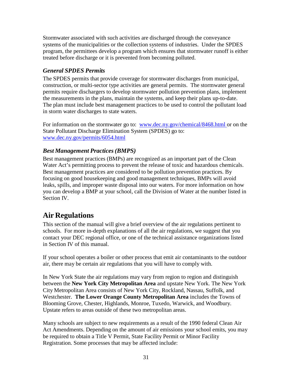Stormwater associated with such activities are discharged through the conveyance systems of the municipalities or the collection systems of industries. Under the SPDES program, the permittees develop a program which ensures that stormwater runoff is either treated before discharge or it is prevented from becoming polluted.

### *General SPDES Permits*

The SPDES permits that provide coverage for stormwater discharges from municipal, construction, or multi-sector type activities are general permits. The stormwater general permits require dischargers to develop stormwater pollution prevention plans, implement the measurements in the plans, maintain the systems, and keep their plans up-to-date. The plan must include best management practices to be used to control the pollutant load in storm water discharges to state waters.

For information on the stormwater go to: [www.dec.ny.gov/chemical/8468.html](http://www.dec.ny.gov/chemical/8468.html) or on the State Pollutant Discharge Elimination System (SPDES) go to: [www.dec.ny.gov/permits/6054.html](http://www.dec.ny.gov/permits/6054.html)

### *Best Management Practices (BMPS)*

Best management practices (BMPs) are recognized as an important part of the Clean Water Act's permitting process to prevent the release of toxic and hazardous chemicals. Best management practices are considered to be pollution prevention practices. By focusing on good housekeeping and good management techniques, BMPs will avoid leaks, spills, and improper waste disposal into our waters. For more information on how you can develop a BMP at your school, call the Division of Water at the number listed in Section IV.

# <span id="page-30-0"></span>**Air Regulations**

This section of the manual will give a brief overview of the air regulations pertinent to schools. For more in-depth explanations of all the air regulations, we suggest that you contact your DEC regional office, or one of the technical assistance organizations listed in Section IV of this manual.

If your school operates a boiler or other process that emit air contaminants to the outdoor air, there may be certain air regulations that you will have to comply with.

In New York State the air regulations may vary from region to region and distinguish between the **New York City Metropolitan Area** and upstate New York. The New York City Metropolitan Area consists of New York City, Rockland, Nassau, Suffolk, and Westchester. **The Lower Orange County Metropolitan Area** includes the Towns of Blooming Grove, Chester, Highlands, Monroe, Tuxedo, Warwick, and Woodbury. Upstate refers to areas outside of these two metropolitan areas.

Many schools are subject to new requirements as a result of the 1990 federal Clean Air Act Amendments. Depending on the amount of air emissions your school emits, you may be required to obtain a Title V Permit, State Facility Permit or Minor Facility Registration. Some processes that may be affected include: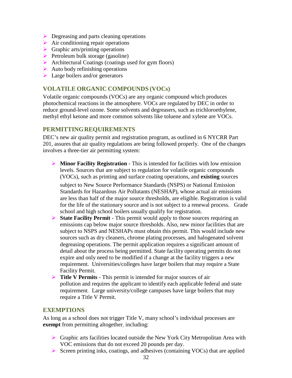- $\triangleright$  Degreasing and parts cleaning operations
- $\triangleright$  Air conditioning repair operations
- $\triangleright$  Graphic arts/printing operations
- $\triangleright$  Petroleum bulk storage (gasoline)
- Architectural Coatings (coatings used for gym floors)
- $\triangleright$  Auto body refinishing operations
- $\blacktriangleright$  Large boilers and/or generators

### **VOLATILE ORGANIC COMPOUNDS (VOCs)**

Volatile organic compounds (VOCs) are any organic compound which produces photochemical reactions in the atmosphere. VOCs are regulated by DEC in order to reduce ground-level ozone. Some solvents and degreasers, such as trichloroethylene, methyl ethyl ketone and more common solvents like toluene and xylene are VOCs.

#### **PERMITTINGREQUIREMENTS**

DEC's new air quality permit and registration program, as outlined in 6 NYCRR Part 201, assures that air quality regulations are being followed properly. One of the changes involves a three-tier air permitting system:

 **Minor Facility Registration** - This is intended for facilities with low emission levels. Sources that are subject to regulation for volatile organic compounds (VOCs), such as printing and surface coating operations, and **existing** sources

subject to New Source Performance Standards (NSPS) or National Emission Standards for Hazardous Air Pollutants (NESHAP), whose actual air emissions are less than half of the major source thresholds, are eligible. Registration is valid for the life of the stationary source and is not subject to a renewal process. Grade school and high school boilers usually qualify for registration.

- **State Facility Permit** This permit would apply to those sources requiring an emissions cap below major source thresholds. Also, new minor facilities that are subject to NSPS and NESHAPs must obtain this permit. This would include new sources such as dry cleaners, chrome plating processes, and halogenated solvent degreasing operations. The permit application requires a significant amount of detail about the process being permitted. State facility operating permits do not expire and only need to be modified if a change at the facility triggers a new requirement. Universities/colleges have larger boilers that may require a State Facility Permit.
- **Title V Permits** This permit is intended for major sources of air pollution and requires the applicant to identify each applicable federal and state requirement. Large university/college campuses have large boilers that may require a Title V Permit.

#### **EXEMPTIONS**

As long as a school does not trigger Title V, many school's individual processes are **exempt** from permitting altogether, including:

- $\triangleright$  Graphic arts facilities located outside the New York City Metropolitan Area with VOC emissions that do not exceed 20 pounds per day.
- $\triangleright$  Screen printing inks, coatings, and adhesives (containing VOCs) that are applied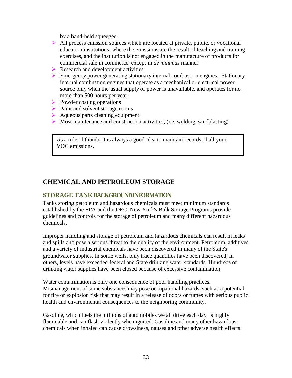by a hand-held squeegee.

- $\triangleright$  All process emission sources which are located at private, public, or vocational education institutions, where the emissions are the result of teaching and training exercises, and the institution is not engaged in the manufacture of products for commercial sale in commerce, except in *de minimus* manner.
- $\triangleright$  Research and development activities
- **Emergency power generating stationary internal combustion engines. Stationary** internal combustion engines that operate as a mechanical or electrical power source only when the usual supply of power is unavailable, and operates for no more than 500 hours per year.
- $\triangleright$  Powder coating operations
- $\triangleright$  Paint and solvent storage rooms
- $\triangleright$  Aqueous parts cleaning equipment
- $\triangleright$  Most maintenance and construction activities; (i.e. welding, sandblasting)

<span id="page-32-0"></span>As a rule of thumb, it is always a good idea to maintain records of all your VOC emissions.

# **CHEMICAL AND PETROLEUM STORAGE**

#### **STORAGE TANKBACKGROUND INFORMATION**

Tanks storing petroleum and hazardous chemicals must meet minimum standards established by the EPA and the DEC. New York's Bulk Storage Programs provide guidelines and controls for the storage of petroleum and many different hazardous chemicals.

Improper handling and storage of petroleum and hazardous chemicals can result in leaks and spills and pose a serious threat to the quality of the environment. Petroleum, additives and a variety of industrial chemicals have been discovered in many of the State's groundwater supplies. In some wells, only trace quantities have been discovered; in others, levels have exceeded federal and State drinking water standards. Hundreds of drinking water supplies have been closed because of excessive contamination.

Water contamination is only one consequence of poor handling practices. Mismanagement of some substances may pose occupational hazards, such as a potential for fire or explosion risk that may result in a release of odors or fumes with serious public health and environmental consequences to the neighboring community.

Gasoline, which fuels the millions of automobiles we all drive each day, is highly flammable and can flash violently when ignited. Gasoline and many other hazardous chemicals when inhaled can cause drowsiness, nausea and other adverse health effects.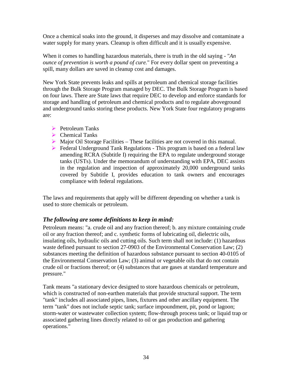Once a chemical soaks into the ground, it disperses and may dissolve and contaminate a water supply for many years. Cleanup is often difficult and it is usually expensive.

When it comes to handling hazardous materials, there is truth in the old saying - "*An ounce of prevention is worth a pound of cure.*" For every dollar spent on preventing a spill, many dollars are saved in cleanup cost and damages.

New York State prevents leaks and spills at petroleum and chemical storage facilities through the Bulk Storage Program managed by DEC. The Bulk Storage Program is based on four laws. There are State laws that require DEC to develop and enforce standards for storage and handling of petroleum and chemical products and to regulate aboveground and underground tanks storing these products. New York State four regulatory programs are:

- $\triangleright$  Petroleum Tanks
- Chemical Tanks
- $\triangleright$  Major Oil Storage Facilities These facilities are not covered in this manual.
- **Federal Underground Tank Regulations This program is based on a federal law** amending RCRA (Subtitle I) requiring the EPA to regulate underground storage tanks (USTs). Under the memorandum of understanding with EPA, DEC assists in the regulation and inspection of approximately 20,000 underground tanks covered by Subtitle I, provides education to tank owners and encourages compliance with federal regulations.

The laws and requirements that apply will be different depending on whether a tank is used to store chemicals or petroleum.

#### *The following are some definitions to keep in mind:*

Petroleum means: "a. crude oil and any fraction thereof; b. any mixture containing crude oil or any fraction thereof; and c. synthetic forms of lubricating oil, dielectric oils, insulating oils, hydraulic oils and cutting oils. Such term shall not include: (1) hazardous waste defined pursuant to section 27-0903 of the Environmental Conservation Law; (2) substances meeting the definition of hazardous substance pursuant to section 40-0105 of the Environmental Conservation Law; (3) animal or vegetable oils that do not contain crude oil or fractions thereof; or (4) substances that are gases at standard temperature and pressure."

Tank means "a stationary device designed to store hazardous chemicals or petroleum, which is constructed of non-earthen materials that provide structural support. The term "tank" includes all associated pipes, lines, fixtures and other ancillary equipment. The term "tank" does not include septic tank; surface impoundment, pit, pond or lagoon; storm-water or wastewater collection system; flow-through process tank; or liquid trap or associated gathering lines directly related to oil or gas production and gathering operations."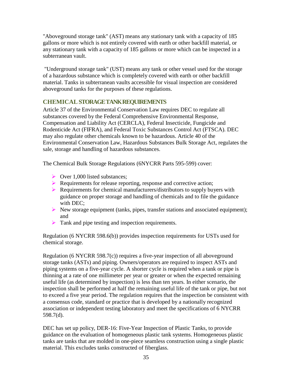"Aboveground storage tank" (AST) means any stationary tank with a capacity of 185 gallons or more which is not entirely covered with earth or other backfill material, or any stationary tank with a capacity of 185 gallons or more which can be inspected in a subterranean vault.

"Underground storage tank" (UST) means any tank or other vessel used for the storage of a hazardous substance which is completely covered with earth or other backfill material. Tanks in subterranean vaults accessible for visual inspection are considered aboveground tanks for the purposes of these regulations.

#### **CHEMICALSTORAGE TANK REQUIREMENTS**

Article 37 of the Environmental Conservation Law requires DEC to regulate all substances covered by the Federal Comprehensive Environmental Response, Compensation and Liability Act (CERCLA), Federal Insecticide, Fungicide and Rodenticide Act (FIFRA), and Federal Toxic Substances Control Act (FTSCA). DEC may also regulate other chemicals known to be hazardous. Article 40 of the Environmental Conservation Law, Hazardous Substances Bulk Storage Act, regulates the sale, storage and handling of hazardous substances.

The Chemical Bulk Storage Regulations (6NYCRR Parts 595-599) cover:

- $\triangleright$  Over 1,000 listed substances:
- Requirements for release reporting, response and corrective action;
- $\triangleright$  Requirements for chemical manufacturers/distributors to supply buyers with guidance on proper storage and handling of chemicals and to file the guidance with DEC:
- $\triangleright$  New storage equipment (tanks, pipes, transfer stations and associated equipment); and
- Tank and pipe testing and inspection requirements.

Regulation (6 NYCRR 598.6(b)) provides inspection requirements for USTs used for chemical storage.

Regulation (6 NYCRR 598.7(c)) requires a five-year inspection of all aboveground storage tanks (ASTs) and piping. Owners/operators are required to inspect ASTs and piping systems on a five-year cycle. A shorter cycle is required when a tank or pipe is thinning at a rate of one millimeter per year or greater or when the expected remaining useful life (as determined by inspection) is less than ten years. In either scenario, the inspection shall be performed at half the remaining useful life of the tank or pipe, but not to exceed a five year period. The regulation requires that the inspection be consistent with a consensus code, standard or practice that is developed by a nationally recognized association or independent testing laboratory and meet the specifications of 6 NYCRR 598.7(d).

DEC has set up policy, DER-16: Five-Year Inspection of Plastic Tanks, to provide guidance on the evaluation of homogeneous plastic tank systems. Homogeneous plastic tanks are tanks that are molded in one-piece seamless construction using a single plastic material. This excludes tanks constructed of fiberglass.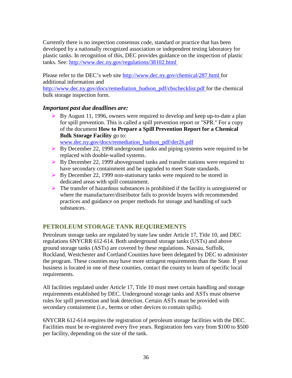Currently there is no inspection consensus code, standard or practice that has been developed by a nationally recognized association or independent testing laboratory for plastic tanks. In recognition of this, DEC provides guidance on the inspection of plastic tanks. See: http://www.dec.ny.gov/regulations/38102.html

Please refer to the DEC's web site <http://www.dec.ny.gov/chemical/287.html> for additional information and

[http://www.dec.ny.gov/docs/remediation\\_hudson\\_pdf/cbschecklist.pdf f](http://www.dec.ny.gov/docs/remediation_hudson_pdf/cbschecklist.pdf)or the chemical bulk storage inspection form.

#### *Important past due deadlines are:*

 $\triangleright$  By August 11, 1996, owners were required to develop and keep up-to-date a plan for spill prevention. This is called a spill prevention report or "SPR." For a copy of the document **How to Prepare a Spill Prevention Report for a Chemical Bulk Storage Facility** go to:

[www.dec.ny.gov/docs/remediation\\_hudson\\_pdf/der26.pdf](http://www.dec.ny.gov/docs/remediation_hudson_pdf/der26.pdf)

- $\triangleright$  By December 22, 1998 underground tanks and piping systems were required to be replaced with double-walled systems.
- By December 22, 1999 above ground tanks and transfer stations were required to have secondary containment and be upgraded to meet State standards.
- ▶ By December 22, 1999 non-stationary tanks were required to be stored in dedicated areas with spill containment.
- $\triangleright$  The transfer of hazardous substances is prohibited if the facility is unregistered or where the manufacturer/distributor fails to provide buyers with recommended practices and guidance on proper methods for storage and handling of such substances.

# **PETROLEUM STORAGETANK REQUIREMENTS**

Petroleum storage tanks are regulated by state law under Article 17, Title 10, and DEC regulations 6NYCRR 612-614. Both underground storage tanks (USTs) and above ground storage tanks (ASTs) are covered by these regulations. Nassau, Suffolk, Rockland, Westchester and Cortland Counties have been delegated by DEC to administer the program. These counties may have more stringent requirements than the State. If your business is located in one of these counties, contact the county to learn of specific local requirements.

All facilities regulated under Article 17, Title 10 must meet certain handling and storage requirements established by DEC. Underground storage tanks and ASTs must observe rules for spill prevention and leak detection. Certain ASTs must be provided with secondary containment (i.e., berms or other devices to contain spills).

6NYCRR 612-614 requires the registration of petroleum storage facilities with the DEC. Facilities must be re-registered every five years. Registration fees vary from \$100 to \$500 per facility, depending on the size of the tank.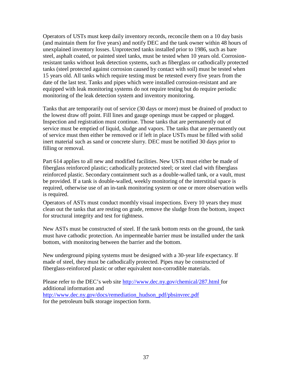Operators of USTs must keep daily inventory records, reconcile them on a 10 day basis (and maintain them for five years) and notify DEC and the tank owner within 48 hours of unexplained inventory losses. Unprotected tanks installed prior to 1986, such as bare steel, asphalt coated, or painted steel tanks, must be tested when 10 years old. Corrosionresistant tanks without leak detection systems, such as fiberglass or cathodically protected tanks (steel protected against corrosion caused by contact with soil) must be tested when 15 years old. All tanks which require testing must be retested every five years from the date of the last test. Tanks and pipes which were installed corrosion-resistant and are equipped with leak monitoring systems do not require testing but do require periodic monitoring of the leak detection system and inventory monitoring.

Tanks that are temporarily out of service (30 days or more) must be drained of product to the lowest draw off point. Fill lines and gauge openings must be capped or plugged. Inspection and registration must continue. Those tanks that are permanently out of service must be emptied of liquid, sludge and vapors. The tanks that are permanently out of service must then either be removed or if left in place USTs must be filled with solid inert material such as sand or concrete slurry. DEC must be notified 30 days prior to filling or removal.

Part 614 applies to all new and modified facilities. New USTs must either be made of fiberglass reinforced plastic; cathodically protected steel; or steel clad with fiberglass reinforced plastic. Secondary containment such as a double-walled tank, or a vault, must be provided. If a tank is double-walled, weekly monitoring of the interstitial space is required, otherwise use of an in-tank monitoring system or one or more observation wells is required.

Operators of ASTs must conduct monthly visual inspections. Every 10 years they must clean out the tanks that are resting on grade, remove the sludge from the bottom, inspect for structural integrity and test for tightness.

New ASTs must be constructed of steel. If the tank bottom rests on the ground, the tank must have cathodic protection. An impermeable barrier must be installed under the tank bottom, with monitoring between the barrier and the bottom.

New underground piping systems must be designed with a 30-year life expectancy. If made of steel, they must be cathodically protected. Pipes may be constructed of fiberglass-reinforced plastic or other equivalent non-corrodible materials.

<span id="page-36-0"></span>Please refer to the DEC's web site <http://www.dec.ny.gov/chemical/287.html> for additional information and [http://www.dec.ny.gov/docs/remediation\\_hudson\\_pdf/pbsinvrec.pdf](http://www.dec.ny.gov/docs/remediation_hudson_pdf/pbsinvrec.pdf) for the petroleum bulk storage inspection form.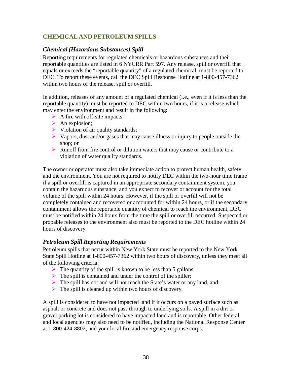### **CHEMICAL AND PETROLEUM SPILLS**

#### *Chemical (Hazardous Substances) Spill*

Reporting requirements for regulated chemicals or hazardous substances and their reportable quantities are listed in 6 NYCRR Part 597. Any release, spill or overfill that equals or exceeds the "reportable quantity" of a regulated chemical, must be reported to DEC. To report these events, call the DEC Spill Response Hotline at 1-800-457-7362 within two hours of the release, spill or overfill.

In addition, releases of any amount of a regulated chemical (i.e., even if it is less than the reportable quantity) must be reported to DEC within two hours, if it is a release which may enter the environment and result in the following:

- $\triangleright$  A fire with off-site impacts;
- $\triangleright$  An explosion;
- $\triangleright$  Violation of air quality standards;
- $\triangleright$  Vapors, dust and/or gases that may cause illness or injury to people outside the shop; or
- $\triangleright$  Runoff from fire control or dilution waters that may cause or contribute to a violation of water quality standards.

The owner or operator must also take immediate action to protect human health, safety and the environment. You are not required to notify DEC within the two-hour time frame if a spill or overfill is captured in an appropriate secondary containment system, you contain the hazardous substance, and you expect to recover or account for the total volume of the spill within 24 hours. However, if the spill or overfill will not be completely contained and recovered or accounted for within 24 hours, or if the secondary containment allows the reportable quantity of chemical to reach the environment, DEC must be notified within 24 hours from the time the spill or overfill occurred. Suspected or probable releases to the environment also must be reported to the DEC hotline within 24 hours of discovery.

#### *Petroleum Spill Reporting Requirements*

Petroleum spills that occur within New York State must be reported to the New York State Spill Hotline at 1-800-457-7362 within two hours of discovery, unless they meet all of the following criteria:

- $\triangleright$  The quantity of the spill is known to be less than 5 gallons;
- $\triangleright$  The spill is contained and under the control of the spiller;
- $\triangleright$  The spill has not and will not reach the State's water or any land, and;
- $\triangleright$  The spill is cleaned up within two hours of discovery.

<span id="page-37-0"></span>A spill is considered to have not impacted land if it occurs on a paved surface such as asphalt or concrete and does not pass through to underlying soils. A spill in a dirt or gravel parking lot is considered to have impacted land and is reportable. Other federal and local agencies may also need to be notified, including the National Response Center at 1-800-424-8802, and your local fire and emergency response corps.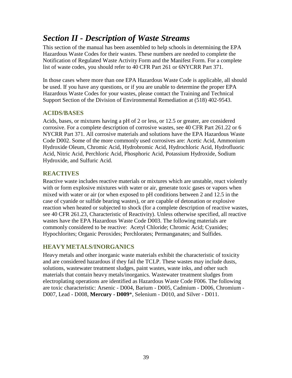# *Section II - Description of Waste Streams*

This section of the manual has been assembled to help schools in determining the EPA Hazardous Waste Codes for their wastes. These numbers are needed to complete the Notification of Regulated Waste Activity Form and the Manifest Form. For a complete list of waste codes, you should refer to 40 CFR Part 261 or 6NYCRR Part 371.

In those cases where more than one EPA Hazardous Waste Code is applicable, all should be used. If you have any questions, or if you are unable to determine the proper EPA Hazardous Waste Codes for your wastes, please contact the Training and Technical Support Section of the Division of Environmental Remediation at (518) 402-9543.

#### **ACIDS/BASES**

Acids, bases, or mixtures having a pH of 2 or less, or 12.5 or greater, are considered corrosive. For a complete description of corrosive wastes, see 40 CFR Part 261.22 or 6 NYCRR Part 371. All corrosive materials and solutions have the EPA Hazardous Waste Code D002. Some of the more commonly used corrosives are: Acetic Acid, Ammonium Hydroxide Oleum, Chromic Acid, Hydrobromic Acid, Hydrochloric Acid, Hydrofluoric Acid, Nitric Acid, Perchloric Acid, Phosphoric Acid, Potassium Hydroxide, Sodium Hydroxide, and Sulfuric Acid.

### **REACTIVES**

Reactive waste includes reactive materials or mixtures which are unstable, react violently with or form explosive mixtures with water or air, generate toxic gases or vapors when mixed with water or air (or when exposed to pH conditions between 2 and 12.5 in the case of cyanide or sulfide bearing wastes), or are capable of detonation or explosive reaction when heated or subjected to shock (for a complete description of reactive wastes, see 40 CFR 261.23, Characteristic of Reactivity). Unless otherwise specified, all reactive wastes have the EPA Hazardous Waste Code D003. The following materials are commonly considered to be reactive: Acetyl Chloride; Chromic Acid; Cyanides; Hypochlorites; Organic Peroxides; Perchlorates; Permanganates; and Sulfides.

#### **HEAVYMETALS/INORGANICS**

Heavy metals and other inorganic waste materials exhibit the characteristic of toxicity and are considered hazardous if they fail the TCLP. These wastes may include dusts, solutions, wastewater treatment sludges, paint wastes, waste inks, and other such materials that contain heavy metals/inorganics. Wastewater treatment sludges from electroplating operations are identified as Hazardous Waste Code F006. The following are toxic characteristic: Arsenic - D004, Barium - D005, Cadmium - D006, Chromium - D007, Lead - D008, **Mercury - D009**\*, Selenium - D010, and Silver - D011.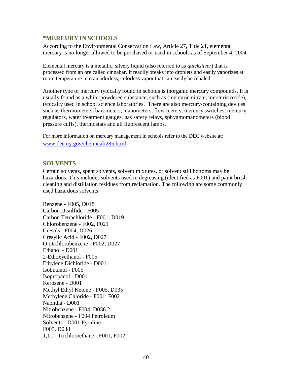#### **\*MERCURY IN SCHOOLS**

According to the Environmental Conservation Law, Article 27, Title 21, elemental mercury is no longer allowed to be purchased or used in schools as of September 4, 2004.

Elemental mercury is a metallic, silvery liquid (also referred to as *quicksilver*) that is processed from an ore called cinnabar. It readily breaks into droplets and easily vaporizes at room temperature into an odorless, colorless vapor that can easily be inhaled.

Another type of mercury typically found in schools is inorganic mercury compounds. It is usually found as a white-powdered substance, such as (mercuric nitrate, mercuric oxide), typically used in school science laboratories. There are also mercury-containing devices such as thermometers, barometers, manometers, flow meters, mercury switches, mercury regulators, water treatment gauges, gas safety relays, sphygmomanometers (blood pressure cuffs), thermostats and all fluorescent lamps.

For more information on mercury management in schools refer to the DEC website at: [www.dec.ny.gov/chemical/285.html](http://www.dec.ny.gov/chemical/285.html)

#### **SOLVENTS**

Certain solvents, spent solvents, solvent mixtures, or solvent still bottoms may be hazardous. This includes solvents used in degreasing (identified as F001) and paint brush cleaning and distillation residues from reclamation. The following are some commonly used hazardous solvents:

Benzene - F005, D018 Carbon Disulfide - F005 Carbon Tetrachloride - F001, D019 Chlorobenzene - F002, F021 Cresols - F004, D026 Cresylic Acid - F002, D027 O-Dichlorobenzene - F002, D027 Ethanol - D001 2-Ethoxyethanol - F005 Ethylene Dichloride - D001 Isobutanol - F005 Isopropanol - D001 Kerosene - D001 Methyl Ethyl Ketone - F005, D035 Methylene Chloride - F001, F002 Naphtha - D001 Nitrobenzene - F004, D036 2- Nitrobenzene - F004 Petroleum Solvents - D001 Pyridine - F005, D038 1,1,1- Trichloroethane - F001, F002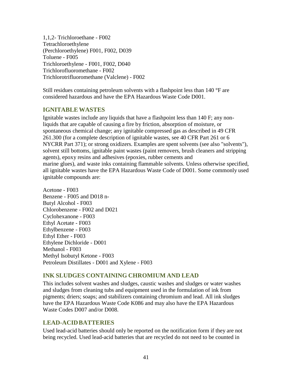1,1,2- Trichloroethane - F002 Tetrachloroethylene (Perchloroethylene) F001, F002, D039 Toluene - F005 Trichloroethylene - F001, F002, D040 Trichlorofluoromethane - F002 Trichlorotrifluoromethane (Valclene) - F002

Still residues containing petroleum solvents with a flashpoint less than 140 °F are considered hazardous and have the EPA Hazardous Waste Code D001.

#### **IGNITABLEWASTES**

Ignitable wastes include any liquids that have a flashpoint less than 140 F; any nonliquids that are capable of causing a fire by friction, absorption of moisture, or spontaneous chemical change; any ignitable compressed gas as described in 49 CFR 261.300 (for a complete description of ignitable wastes, see 40 CFR Part 261 or 6 NYCRR Part 371); or strong oxidizers. Examples are spent solvents (see also "solvents"), solvent still bottoms, ignitable paint wastes (paint removers, brush cleaners and stripping agents), epoxy resins and adhesives (epoxies, rubber cements and marine glues), and waste inks containing flammable solvents. Unless otherwise specified, all ignitable wastes have the EPA Hazardous Waste Code of D001. Some commonly used ignitable compounds are:

Acetone - F003 Benzene - F005 and D018 n-Butyl Alcohol - F003 Chlorobenzene - F002 and D021 Cyclohexanone - F003 Ethyl Acetate - F003 Ethylbenzene - F003 Ethyl Ether - F003 Ethylene Dichloride - D001 Methanol - F003 Methyl Isobutyl Ketone - F003 Petroleum Distillates - D001 and Xylene - F003

# **INK SLUDGES CONTAINING CHROMIUM AND LEAD**

This includes solvent washes and sludges, caustic washes and sludges or water washes and sludges from cleaning tubs and equipment used in the formulation of ink from pigments; driers; soaps; and stabilizers containing chromium and lead. All ink sludges have the EPA Hazardous Waste Code K086 and may also have the EPA Hazardous Waste Codes D007 and/or D008.

# **LEAD-ACIDBATTERIES**

Used lead-acid batteries should only be reported on the notification form if they are not being recycled. Used lead-acid batteries that are recycled do not need to be counted in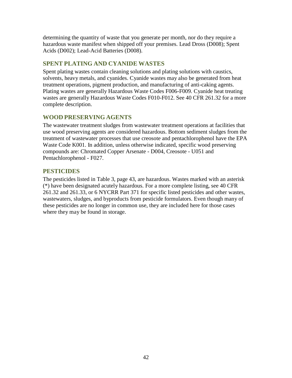determining the quantity of waste that you generate per month, nor do they require a hazardous waste manifest when shipped off your premises. Lead Dross (D008); Spent Acids (D002); Lead-Acid Batteries (D008).

### **SPENT PLATING AND CYANIDE WASTES**

Spent plating wastes contain cleaning solutions and plating solutions with caustics, solvents, heavy metals, and cyanides. Cyanide wastes may also be generated from heat treatment operations, pigment production, and manufacturing of anti-caking agents. Plating wastes are generally Hazardous Waste Codes F006-F009. Cyanide heat treating wastes are generally Hazardous Waste Codes F010-F012. See 40 CFR 261.32 for a more complete description.

### **WOOD PRESERVING AGENTS**

The wastewater treatment sludges from wastewater treatment operations at facilities that use wood preserving agents are considered hazardous. Bottom sediment sludges from the treatment of wastewater processes that use creosote and pentachlorophenol have the EPA Waste Code K001. In addition, unless otherwise indicated, specific wood preserving compounds are: Chromated Copper Arsenate - D004, Creosote - U051 and Pentachlorophenol - F027.

# **PESTICIDES**

The pesticides listed in Table 3, page 43, are hazardous. Wastes marked with an asterisk (\*) have been designated acutely hazardous. For a more complete listing, see 40 CFR 261.32 and 261.33, or 6 NYCRR Part 371 for specific listed pesticides and other wastes, wastewaters, sludges, and byproducts from pesticide formulators. Even though many of these pesticides are no longer in common use, they are included here for those cases where they may be found in storage.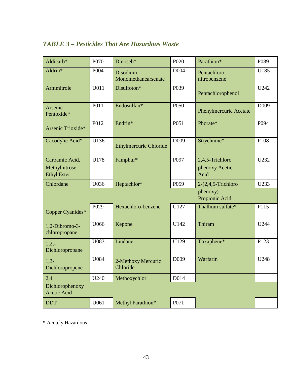# *TABLE 3 – Pesticides That Are Hazardous Waste*

| Aldicarb*                                             | P070              | Dinoseb*                        | P <sub>020</sub> | Parathion*                                | P089             |
|-------------------------------------------------------|-------------------|---------------------------------|------------------|-------------------------------------------|------------------|
| Aldrin*                                               | P004              | Disodium<br>Monomethanearsenate | D004             | Pentachloro-<br>nitrobenzene              | U185             |
| Armmitrole                                            | $\overline{U011}$ | Disulfoton*                     | P039             | Pentachlorophenol                         | U242             |
| Arsenic<br>Pentoxide*                                 | P <sub>011</sub>  | Endosulfan*                     | P <sub>050</sub> | <b>Phenylmercuric Acetate</b>             | D <sub>009</sub> |
| Arsenic Trioxide*                                     | P012              | Endrin*                         | P051             | Phorate*                                  | P094             |
| Cacodylic Acid*                                       | U136              | <b>Ethylmercuric Chloride</b>   | D <sub>009</sub> | Strychnine*                               | P108             |
| Carbamic Acid,<br>Methylnitrose<br><b>Ethyl Ester</b> | U178              | Famphur*                        | P097             | 2,4,5-Trichloro<br>phenoxy Acetic<br>Acid | U232             |
| Chlordane                                             | U036              | Heptachlor*                     | P059             | $2-(2,4,5-Trichloro)$                     | U233             |
|                                                       |                   |                                 |                  | phenoxy)<br>Propionic Acid                |                  |
| Copper Cyanides*                                      | P <sub>029</sub>  | Hexachloro-benzene              | U127             | Thallium sulfate*                         | P115             |
| 1,2-Dibromo-3-<br>chloropropane                       | U066              | Kepone                          | U142             | Thiram                                    | U244             |
| $1,2,-$<br>Dichloropropane                            | U083              | Lindane                         | U129             | Toxaphene*                                | P <sub>123</sub> |
| $1,3-$<br>Dichloropropene                             | U084              | 2-Methoxy Mercuric<br>Chloride  | D <sub>009</sub> | Warfarin                                  | U248             |
| 2,4                                                   | U240              | Methoxychlor                    | D014             |                                           |                  |
| Dichlorophenoxy<br><b>Acetic Acid</b>                 |                   |                                 |                  |                                           |                  |
| <b>DDT</b>                                            | U061              | Methyl Parathion*               | P071             |                                           |                  |

**\*** Acutely Hazardous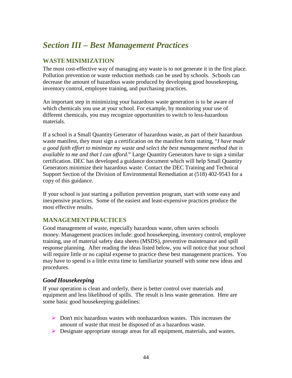# <span id="page-43-0"></span>*Section III – Best Management Practices*

# **WASTEMINIMIZATION**

The most cost-effective way of managing any waste is to not generate it in the first place. Pollution prevention or waste reduction methods can be used by schools. Schools can decrease the amount of hazardous waste produced by developing good housekeeping, inventory control, employee training, and purchasing practices.

An important step in minimizing your hazardous waste generation is to be aware of which chemicals you use at your school. For example, by monitoring your use of different chemicals, you may recognize opportunities to switch to less-hazardous materials.

If a school is a Small Quantity Generator of hazardous waste, as part of their hazardous waste manifest, they must sign a certification on the manifest form stating, "*I have made a good faith effort to minimize my waste and select the best management method that is available to me and that I can afford.*" Large Quantity Generators have to sign a similar certification. DEC has developed a guidance document which will help Small Quantity Generators minimize their hazardous waste. Contact the DEC Training and Technical Support Section of the Division of Environmental Remediation at (518) 402-9543 for a copy of this guidance.

If your school is just starting a pollution prevention program, start with some easy and inexpensive practices. Some of the easiest and least-expensive practices produce the most effective results.

# **MANAGEMENTPRACTICES**

Good management of waste, especially hazardous waste, often saves schools money. Management practices include: good housekeeping, inventory control, employee training, use of material safety data sheets (MSDS), preventive maintenance and spill response planning. After reading the ideas listed below, you will notice that your school will require little or no capital expense to practice these best management practices. You may have to spend is a little extra time to familiarize yourself with some new ideas and procedures.

#### *Good Housekeeping*

If your operation is clean and orderly, there is better control over materials and equipment and less likelihood of spills. The result is less waste generation. Here are some basic good housekeeping guidelines:

- $\triangleright$  Don't mix hazardous wastes with nonhazardous wastes. This increases the amount of waste that must be disposed of as a hazardous waste.
- Designate appropriate storage areas for all equipment, materials, and wastes.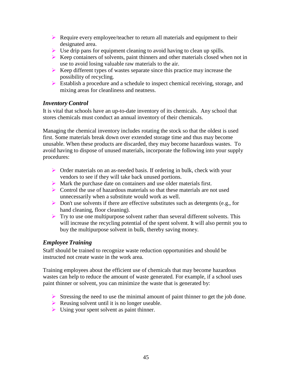- $\triangleright$  Require every employee/teacher to return all materials and equipment to their designated area.
- $\triangleright$  Use drip pans for equipment cleaning to avoid having to clean up spills.
- $\triangleright$  Keep containers of solvents, paint thinners and other materials closed when not in use to avoid losing valuable raw materials to the air.
- $\triangleright$  Keep different types of wastes separate since this practice may increase the possibility of recycling.
- Establish a procedure and a schedule to inspect chemical receiving, storage, and mixing areas for cleanliness and neatness.

#### *Inventory Control*

It is vital that schools have an up-to-date inventory of its chemicals. Any school that stores chemicals must conduct an annual inventory of their chemicals.

Managing the chemical inventory includes rotating the stock so that the oldest is used first. Some materials break down over extended storage time and thus may become unusable. When these products are discarded, they may become hazardous wastes. To avoid having to dispose of unused materials, incorporate the following into your supply procedures:

- Order materials on an as-needed basis. If ordering in bulk, check with your vendors to see if they will take back unused portions.
- Mark the purchase date on containers and use older materials first.
- Control the use of hazardous materials so that these materials are not used unnecessarily when a substitute would work as well.
- $\triangleright$  Don't use solvents if there are effective substitutes such as detergents (e.g., for hand cleaning, floor cleaning).
- $\triangleright$  Try to use one multipurpose solvent rather than several different solvents. This will increase the recycling potential of the spent solvent. It will also permit you to buy the multipurpose solvent in bulk, thereby saving money.

#### *Employee Training*

Staff should be trained to recognize waste reduction opportunities and should be instructed not create waste in the work area.

Training employees about the efficient use of chemicals that may become hazardous wastes can help to reduce the amount of waste generated. For example, if a school uses paint thinner or solvent, you can minimize the waste that is generated by:

- $\triangleright$  Stressing the need to use the minimal amount of paint thinner to get the job done.
- Reusing solvent until it is no longer useable.
- $\triangleright$  Using your spent solvent as paint thinner.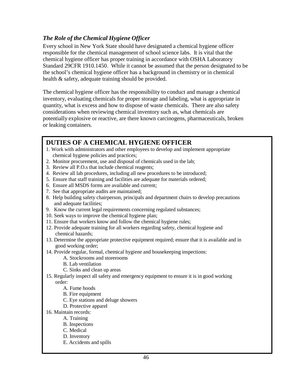# *The Role of the Chemical Hygiene Officer*

Every school in New York State should have designated a chemical hygiene officer responsible for the chemical management of school science labs. It is vital that the chemical hygiene officer has proper training in accordance with OSHA Laboratory Standard 29CFR 1910.1450. While it cannot be assumed that the person designated to be the school's chemical hygiene officer has a background in chemistry or in chemical health & safety, adequate training should be provided.

The chemical hygiene officer has the responsibility to conduct and manage a chemical inventory, evaluating chemicals for proper storage and labeling, what is appropriate in quantity, what is excess and how to dispose of waste chemicals. There are also safety considerations when reviewing chemical inventory such as, what chemicals are potentially explosive or reactive, are there known carcinogens, pharmaceuticals, broken or leaking containers.

# **DUTIES OF A CHEMICAL HYGIENE OFFICER**

- 1. Work with administrators and other employees to develop and implement appropriate chemical hygiene policies and practices;
- 2. Monitor procurement, use and disposal of chemicals used in the lab;
- 3. Review all P.O.s that include chemical reagents;
- 4. Review all lab procedures, including all new procedures to be introduced;
- 5. Ensure that staff training and facilities are adequate for materials ordered;
- 6. Ensure all MSDS forms are available and current;
- 7. See that appropriate audits are maintained;
- 8. Help building safety chairperson, principals and department chairs to develop precautions and adequate facilities;
- 9. Know the current legal requirements concerning regulated substances;
- 10. Seek ways to improve the chemical hygiene plan;
- 11. Ensure that workers know and follow the chemical hygiene rules;
- 12. Provide adequate training for all workers regarding safety, chemical hygiene and chemical hazards;
- 13. Determine the appropriate protective equipment required; ensure that it is available and in good working order;
- 14. Provide regular, formal, chemical hygiene and housekeeping inspections:
	- A. Stockrooms and storerooms
	- B. Lab ventilation
	- C. Sinks and clean up areas
- 15. Regularly inspect all safety and emergency equipment to ensure it is in good working order:
	- A. Fume hoods
	- B. Fire equipment
	- C. Eye stations and deluge showers
	- D. Protective apparel
- 16. Maintain records:
	- A. Training
	- B. Inspections
	- C. Medical
	- D. Inventory
	- E. Accidents and spills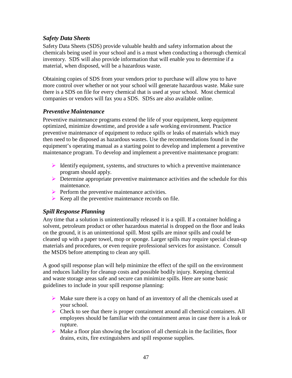### *Safety Data Sheets*

Safety Data Sheets (SDS) provide valuable health and safety information about the chemicals being used in your school and is a must when conducting a thorough chemical inventory. SDS will also provide information that will enable you to determine if a material, when disposed, will be a hazardous waste.

Obtaining copies of SDS from your vendors prior to purchase will allow you to have more control over whether or not your school will generate hazardous waste. Make sure there is a SDS on file for every chemical that is used at your school. Most chemical companies or vendors will fax you a SDS. SDSs are also available online.

#### *Preventive Maintenance*

Preventive maintenance programs extend the life of your equipment, keep equipment optimized, minimize downtime, and provide a safe working environment. Practice preventive maintenance of equipment to reduce spills or leaks of materials which may then need to be disposed as hazardous wastes. Use the recommendations found in the equipment's operating manual as a starting point to develop and implement a preventive maintenance program. To develop and implement a preventive maintenance program:

- $\triangleright$  Identify equipment, systems, and structures to which a preventive maintenance program should apply.
- $\triangleright$  Determine appropriate preventive maintenance activities and the schedule for this maintenance.
- $\triangleright$  Perform the preventive maintenance activities.
- $\triangleright$  Keep all the preventive maintenance records on file.

#### *Spill Response Planning*

Any time that a solution is unintentionally released it is a spill. If a container holding a solvent, petroleum product or other hazardous material is dropped on the floor and leaks on the ground, it is an unintentional spill. Most spills are minor spills and could be cleaned up with a paper towel, mop or sponge. Larger spills may require special clean-up materials and procedures, or even require professional services for assistance. Consult the MSDS before attempting to clean any spill.

A good spill response plan will help minimize the effect of the spill on the environment and reduces liability for cleanup costs and possible bodily injury. Keeping chemical and waste storage areas safe and secure can minimize spills. Here are some basic guidelines to include in your spill response planning:

- $\triangleright$  Make sure there is a copy on hand of an inventory of all the chemicals used at your school.
- $\triangleright$  Check to see that there is proper containment around all chemical containers. All employees should be familiar with the containment areas in case there is a leak or rupture.
- $\triangleright$  Make a floor plan showing the location of all chemicals in the facilities, floor drains, exits, fire extinguishers and spill response supplies.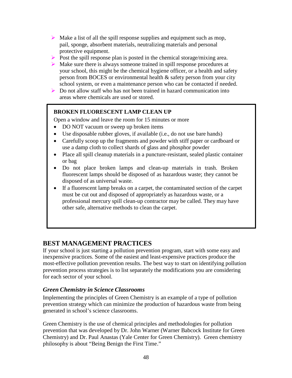- $\triangleright$  Make a list of all the spill response supplies and equipment such as mop, pail, sponge, absorbent materials, neutralizing materials and personal protective equipment.
- $\triangleright$  Post the spill response plan is posted in the chemical storage/mixing area.
- $\triangleright$  Make sure there is always someone trained in spill response procedures at your school, this might be the chemical hygiene officer, or a health and safety person from BOCES or environmental health & safety person from your city school system, or even a maintenance person who can be contacted if needed.
- Do not allow staff who has not been trained in hazard communication into areas where chemicals are used or stored.

#### **BROKEN FLUORESCENT LAMP CLEAN UP**

Open a window and leave the room for 15 minutes or more

- DO NOT vacuum or sweep up broken items
- Use disposable rubber gloves, if available (i.e., do not use bare hands)
- Carefully scoop up the fragments and powder with stiff paper or cardboard or use a damp cloth to collect shards of glass and phosphor powder
- Place all spill cleanup materials in a puncture-resistant, sealed plastic container or bag
- Do not place broken lamps and clean-up materials in trash. Broken fluorescent lamps should be disposed of as hazardous waste; they cannot be disposed of as universal waste.
- If a fluorescent lamp breaks on a carpet, the contaminated section of the carpet must be cut out and disposed of appropriately as hazardous waste, or a professional mercury spill clean-up contractor may be called. They may have other safe, alternative methods to clean the carpet.

# **BEST MANAGEMENT PRACTICES**

If your school is just starting a pollution prevention program, start with some easy and inexpensive practices. Some of the easiest and least-expensive practices produce the most-effective pollution prevention results. The best way to start on identifying pollution prevention process strategies is to list separately the modifications you are considering for each sector of your school.

#### *Green Chemistry in Science Classrooms*

Implementing the principles of Green Chemistry is an example of a type of pollution prevention strategy which can minimize the production of hazardous waste from being generated in school's science classrooms.

Green Chemistry is the use of chemical principles and methodologies for pollution prevention that was developed by Dr. John Warner (Warner Babcock Institute for Green Chemistry) and Dr. Paul Anastas (Yale Center for Green Chemistry). Green chemistry philosophy is about "Being Benign the First Time."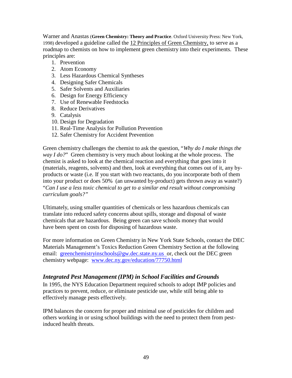Warner and Anastas (**Green Chemistry: Theory and Practice**. Oxford University Press: New York, 1998) developed a guideline called the 12 Principles of Green Chemistry, to serve as a roadmap to chemists on how to implement green chemistry into their experiments. These principles are:

- 1. Prevention
- 2. Atom Economy
- 3. Less Hazardous Chemical Syntheses
- 4. Designing Safer Chemicals
- 5. Safer Solvents and Auxiliaries
- 6. Design for Energy Efficiency
- 7. Use of Renewable Feedstocks
- 8. Reduce Derivatives
- 9. Catalysis
- 10. Design for Degradation
- 11. Real-Time Analysis for Pollution Prevention
- 12. Safer Chemistry for Accident Prevention

Green chemistry challenges the chemist to ask the question, "*Why do I make things the way I do?*" Green chemistry is very much about looking at the whole process. The chemist is asked to look at the chemical reaction and everything that goes into it (materials, reagents, solvents) and then, look at everything that comes out of it, any byproducts or waste (i.e. If you start with two reactants, do you incorporate both of them into your product or does 50% (an unwanted by-product) gets thrown away as waste?) "*Can I use a less toxic chemical to get to a similar end result without compromising curriculum goals?"*

Ultimately, using smaller quantities of chemicals or less hazardous chemicals can translate into reduced safety concerns about spills, storage and disposal of waste chemicals that are hazardous. Being green can save schools money that would have been spent on costs for disposing of hazardous waste.

For more information on Green Chemistry in New York State Schools, contact the DEC Materials Management's Toxics Reduction Green Chemistry Section at the following email: [greenchemistryinschools@gw.dec.state.ny.us o](mailto:greenchemistryinschools@gw.dec.state.ny.us)r, check out the DEC green chemistry webpage: [www.dec.ny.gov/education/77750.html](http://www.dec.ny.gov/education/77750.html)

#### *Integrated Pest Management (IPM) in School Facilities and Grounds*

In 1995, the NYS Education Department required schools to adopt IMP policies and practices to prevent, reduce, or eliminate pesticide use, while still being able to effectively manage pests effectively.

IPM balances the concern for proper and minimal use of pesticides for children and others working in or using school buildings with the need to protect them from pestinduced health threats.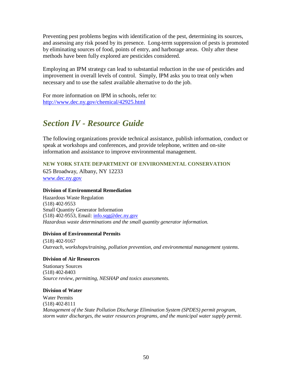Preventing pest problems begins with identification of the pest, determining its sources, and assessing any risk posed by its presence. Long-term suppression of pests is promoted by eliminating sources of food, points of entry, and harborage areas. Only after these methods have been fully explored are pesticides considered.

Employing an IPM strategy can lead to substantial reduction in the use of pesticides and improvement in overall levels of control. Simply, IPM asks you to treat only when necessary and to use the safest available alternative to do the job.

<span id="page-49-0"></span>For more information on IPM in schools, refer to: <http://www.dec.ny.gov/chemical/42925.html>

# *Section IV - Resource Guide*

The following organizations provide technical assistance, publish information, conduct or speak at workshops and conferences, and provide telephone, written and on-site information and assistance to improve environmental management.

**NEW YORK STATE DEPARTMENT OF ENVIRONMENTAL CONSERVATION**

625 Broadway, Albany, NY 12233 [www.dec.ny.gov](http://www.dec.ny.gov/)

#### **Division of Environmental Remediation**

Hazardous Waste Regulation (518) 402-9553 Small Quantity Generator Information (518) 402-9553, Email: [info.sqg@dec.ny.gov](mailto:info.sqg@dec.ny.gov) *Hazardous waste determinations and the small quantity generator information.*

#### **Division of Environmental Permits**

(518) 402-9167 *Outreach, workshops/training, pollution prevention, and environmental management systems*.

#### **Division of Air Resources**

Stationary Sources (518) 402-8403 *Source review, permitting, NESHAP and toxics assessments.*

#### **Division of Water**

Water Permits (518) 402-8111 *Management of the State Pollution Discharge Elimination System (SPDES) permit program, storm water discharges, the water resources programs, and the municipal water supply permit.*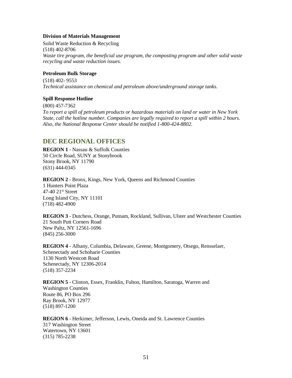#### **Division of Materials Management**

Solid Waste Reduction & Recycling (518) 402-8706 *Waste tire program, the beneficial use program, the composting program and other solid waste recycling and waste reduction issues.*

#### **Petroleum Bulk Storage**

(518) 402- 9553 *Technical assistance on chemical and petroleum above/underground storage tanks.*

#### **Spill Response Hotline**

(800) 457-7362 *To report a spill of petroleum products or hazardous materials on land or water in New York State, call the hotline number. Companies are legally required to report a spill within 2 hours. Also, the National Response Center should be notified 1-800-424-8802.*

#### **DEC REGIONAL OFFICES**

**REGION 1** - Nassau & Suffolk Counties 50 Circle Road, SUNY at Stonybrook Stony Brook, NY 11790 (631) 444-0345

**REGION 2** - Bronx, Kings, New York, Queens and Richmond Counties 1 Hunters Point Plaza 47-40 21st Street Long Island City, NY 11101 (718) 482-4900

**REGION 3** - Dutchess, Orange, Putnam, Rockland, Sullivan, Ulster and Westchester Counties 21 South Putt Corners Road New Paltz, NY 12561-1696 (845) 256-3000

**REGION 4** - Albany, Columbia, Delaware, Greene, Montgomery, Otsego, Rensselaer, Schenectady and Schoharie Counties 1130 North Westcott Road Schenectady, NY 12306-2014 (518) 357-2234

**REGION 5** - Clinton, Essex, Franklin, Fulton, Hamilton, Saratoga, Warren and Washington Counties Route 86, PO Box 296 Ray Brook, NY 12977 (518) 897-1200

**REGION 6** - Herkimer, Jefferson, Lewis, Oneida and St. Lawrence Counties 317 Washington Street Watertown, NY 13601 (315) 785-2238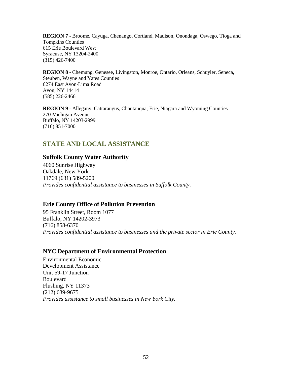**REGION 7** - Broome, Cayuga, Chenango, Cortland, Madison, Onondaga, Oswego, Tioga and Tompkins Counties 615 Erie Boulevard West Syracuse, NY 13204-2400 (315) 426-7400

**REGION 8** - Chemung, Genesee, Livingston, Monroe, Ontario, Orleans, Schuyler, Seneca, Steuben, Wayne and Yates Counties 6274 East Avon-Lima Road Avon, NY 14414 (585) 226-2466

**REGION 9** - Allegany, Cattaraugus, Chautauqua, Erie, Niagara and Wyoming Counties 270 Michigan Avenue Buffalo, NY 14203-2999 (716) 851-7000

# **STATE AND LOCAL ASSISTANCE**

#### **Suffolk County Water Authority**

4060 Sunrise Highway Oakdale, New York 11769 (631) 589-5200 *Provides confidential assistance to businesses in Suffolk County*.

#### **Erie County Office of Pollution Prevention**

95 Franklin Street, Room 1077 Buffalo, NY 14202-3973 (716) 858-6370 *Provides confidential assistance to businesses and the private sector in Erie County.*

#### **NYC Department of Environmental Protection**

Environmental Economic Development Assistance Unit 59-17 Junction Boulevard Flushing, NY 11373 (212) 639-9675 *Provides assistance to small businesses in New York City.*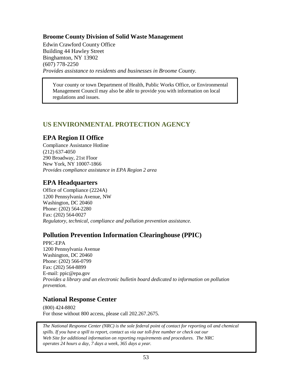### **Broome County Division of Solid Waste Management**

Edwin Crawford County Office Building 44 Hawley Street Binghamton, NY 13902 (607) 778-2250 *Provides assistance to residents and businesses in Broome County.*

Your county or town Department of Health, Public Works Office, or Environmental Management Council may also be able to provide you with information on local regulations and issues.

# **US ENVIRONMENTAL PROTECTION AGENCY**

# **EPA Region II Office**

Compliance Assistance Hotline (212) 637-4050 290 Broadway, 21st Floor New York, NY 10007-1866 *Provides compliance assistance in EPA Region 2 area*

# **EPA Headquarters**

Office of Compliance (2224A) 1200 Pennsylvania Avenue, NW Washington, DC 20460 Phone: (202) 564-2280 Fax: (202) 564-0027 *Regulatory, technical, compliance and pollution prevention assistance.*

# **Pollution Prevention Information Clearinghouse (PPIC)**

PPIC-EPA 1200 Pennsylvania Avenue Washington, DC 20460 Phone: (202) 566-0799 Fax: (202) 564-8899 E-mail: [ppic@epa.gov](mailto:ppic@epa.gov) *Provides a library and an electronic bulletin board dedicated to information on pollution prevention*.

# **National Response Center**

(800) 424-8802 For those without 800 access, please call 202.267.2675.

*The National Response Center (NRC) is the sole federal point of contact for reporting oil and chemical spills. If you have a spill to report, contact us via our toll-free number or check out our Web Site for additional information on reporting requirements and procedures. The NRC operates 24 hours a day, 7 days a week, 365 days a year.*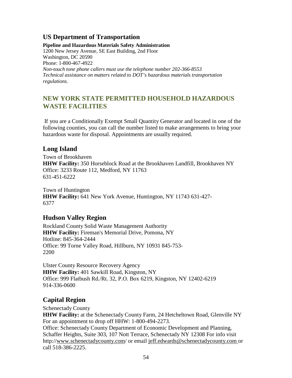# **US Department of Transportation**

**Pipeline and Hazardous Materials Safety Administration**  1200 New Jersey Avenue, SE East Building, 2nd Floor Washington, DC 20590 Phone: 1-800-467-4922 *Non-touch tone phone callers must use the telephone number 202-366-8553 Technical assistance on matters related to DOT's hazardous materials transportation regulations.*

# **NEW YORK STATE PERMITTED HOUSEHOLD HAZARDOUS WASTE FACILITIES**

If you are a Conditionally Exempt Small Quantity Generator and located in one of the following counties, you can call the number listed to make arrangements to bring your hazardous waste for disposal. Appointments are usually required.

# **Long Island**

Town of Brookhaven **HHW Facility:** 350 Horseblock Road at the Brookhaven Landfill, Brookhaven NY Office: 3233 Route 112, Medford, NY 11763 631-451-6222

Town of Huntington **HHW Facility:** 641 New York Avenue, Huntington, NY 11743 631-427- 6377

# **Hudson Valley Region**

Rockland County Solid Waste Management Authority **HHW Facility:** Fireman's Memorial Drive, Pomona, NY Hotline: 845-364-2444 Office: 99 Torne Valley Road, Hillburn, NY 10931 845-753- 2200

Ulster County Resource Recovery Agency **HHW Facility:** 401 Sawkill Road, Kingston, NY Office: 999 Flatbush Rd./Rt. 32, P.O. Box 6219, Kingston, NY 12402-6219 914-336-0600

# **Capital Region**

Schenectady County

**HHW Facility:** at the Schenectady County Farm, 24 Hetcheltown Road, Glenville NY For an appointment to drop off HHW: 1-800-494-2273. Office: Schenectady County Department of Economic Development and Planning, Schaffer Heights, Suite 303, 107 Nott Terrace, Schenectady NY 12308 For info visi[t](http://www.schenectadycounty.com/) [http://www.schenectadycounty.com/ o](http://www.schenectadycounty.com/)r email [jeff.edwards@schenectadycounty.com](mailto:jeff.edwards@schenectadycounty.com) or call 518-386-2225.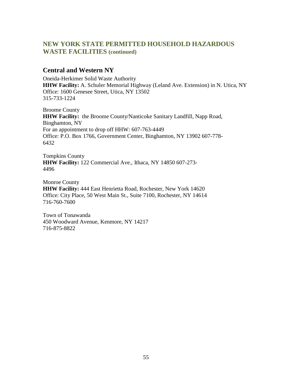# **NEW YORK STATE PERMITTED HOUSEHOLD HAZARDOUS WASTE FACILITIES (continued)**

### **Central and Western NY**

Oneida-Herkimer Solid Waste Authority **HHW Facility:** A. Schuler Memorial Highway (Leland Ave. Extension) in N. Utica, NY Office: 1600 Genesee Street, Utica, NY 13502 315-733-1224

Broome County **HHW Facility:** the Broome County/Nanticoke Sanitary Landfill, Napp Road, Binghamton, NY For an appointment to drop off HHW: 607-763-4449 Office: P.O. Box 1766, Government Center, Binghamton, NY 13902 607-778- 6432

Tompkins County **HHW Facility:** 122 Commercial Ave., Ithaca, NY 14850 607-273- 4496

Monroe County **HHW Facility:** 444 East Henrietta Road, Rochester, New York 14620 Office: City Place, 50 West Main St., Suite 7100, Rochester, NY 14614 716-760-7600

Town of Tonawanda 450 Woodward Avenue, Kenmore, NY 14217 716-875-8822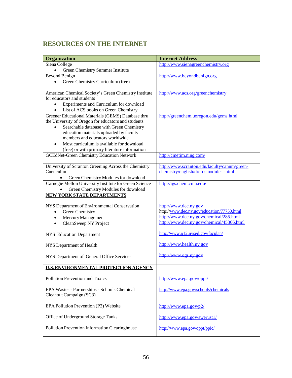# **RESOURCES ON THE INTERNET**

| Siena College<br>http://www.sienagreenchemistry.org<br>$\bullet$<br>Green Chemistry Summer Institute<br><b>Beyond Benign</b><br>http://www.beyondbenign.org<br>Green Chemistry Curriculum (free)<br>$\bullet$ |  |
|---------------------------------------------------------------------------------------------------------------------------------------------------------------------------------------------------------------|--|
|                                                                                                                                                                                                               |  |
|                                                                                                                                                                                                               |  |
|                                                                                                                                                                                                               |  |
|                                                                                                                                                                                                               |  |
| American Chemical Society's Green Chemistry Institute<br>http://www.acs.org/greenchemistry                                                                                                                    |  |
| for educators and students                                                                                                                                                                                    |  |
| Experiments and Curriculum for download<br>$\bullet$                                                                                                                                                          |  |
| List of ACS books on Green Chemistry<br>$\bullet$                                                                                                                                                             |  |
| Greener Educational Materials (GEMS) Database thru<br>http://greenchem.uoregon.edu/gems.html                                                                                                                  |  |
| the University of Oregon for educators and students                                                                                                                                                           |  |
| Searchable database with Green Chemistry                                                                                                                                                                      |  |
| education materials uploaded by faculty                                                                                                                                                                       |  |
| members and educators worldwide                                                                                                                                                                               |  |
| Most curriculum is available for download                                                                                                                                                                     |  |
| (free) or with primary literature information                                                                                                                                                                 |  |
| <b>GCEdNet-Green Chemistry Education Network</b><br>http://cmetim.ning.com/                                                                                                                                   |  |
| University of Scranton Greening Across the Chemistry<br>http://www.scranton.edu/faculty/cannm/green-                                                                                                          |  |
| chemistry/english/drefusmodules.shtml<br>Curriculum                                                                                                                                                           |  |
| Green Chemistry Modules for download                                                                                                                                                                          |  |
| Carnegie Mellon University Institute for Green Science<br>http://igs.chem.cmu.edu/                                                                                                                            |  |
| Green Chemistry Modules for download                                                                                                                                                                          |  |
| <b>NEW YORK STATE DEPARTMENTS</b>                                                                                                                                                                             |  |
| NYS Department of Environmental Conservation<br>http://www.dec.ny.gov                                                                                                                                         |  |
| http://www.dec.ny.gov/education/77750.html<br>Green Chemistry                                                                                                                                                 |  |
| http://www.dec.ny.gov/chemical/285.html<br>Mercury Management<br>$\bullet$                                                                                                                                    |  |
| http://www.dec.ny.gov/chemical/45366.html<br>CleanSweep NY Project                                                                                                                                            |  |
|                                                                                                                                                                                                               |  |
| http://www.p12.nysed.gov/facplan/<br><b>NYS</b> Education Department                                                                                                                                          |  |
| http://www.health.ny.gov<br>NYS Department of Health                                                                                                                                                          |  |
| http://www.ogs.ny.gov<br>NYS Department of General Office Services                                                                                                                                            |  |
|                                                                                                                                                                                                               |  |
| <b>ILS. ENVIRONMENTAL PROTECTION AGENCY</b>                                                                                                                                                                   |  |
| <b>Pollution Prevention and Toxics</b><br>http://www.epa.gov/oppt/                                                                                                                                            |  |
| http://www.epa.gov/schools/chemicals<br>EPA Wastes - Partnerships - Schools Chemical<br>Cleanout Campaign (SC3)                                                                                               |  |
| EPA Pollution Prevention (P2) Website<br>http://www.epa.gov/p2/                                                                                                                                               |  |
| Office of Underground Storage Tanks<br>http://www.epa.gov/swerust1/                                                                                                                                           |  |
| Pollution Prevention Information Clearinghouse<br>http://www.epa.gov/oppt/ppic/                                                                                                                               |  |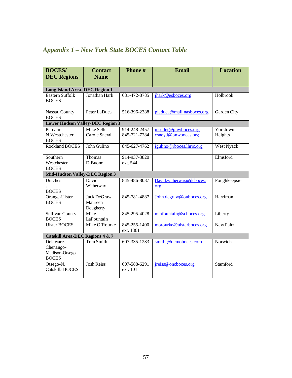# *Appendix 1 – New York State BOCES Contact Table*

| <b>BOCES/</b>                                            | <b>Contact</b>                             | Phone#                       | <b>Email</b>                                | <b>Location</b>     |
|----------------------------------------------------------|--------------------------------------------|------------------------------|---------------------------------------------|---------------------|
| <b>DEC</b> Regions                                       | <b>Name</b>                                |                              |                                             |                     |
|                                                          |                                            |                              |                                             |                     |
| <b>Long Island Area- DEC Region 1</b>                    |                                            |                              |                                             |                     |
| Eastern Suffolk<br><b>BOCES</b>                          | Jonathan Hark                              | 631-472-8785                 | jhark@esboces.org                           | Holbrook            |
| Nassau County<br><b>BOCES</b>                            | Peter LaDuca                               | 516-396-2388                 | pladuca@mail.nasboces.org                   | Garden City         |
| <b>Lower Hudson Valley-DEC Region 3</b>                  |                                            |                              |                                             |                     |
| Putnam-<br>N.Westchester<br><b>BOCES</b>                 | Mike Sellet<br>Carole Sneyd                | 914-248-2457<br>845-721-7284 | msellet@pnwboces.org<br>csneyd@pnwboces.org | Yorktown<br>Heights |
| <b>Rockland BOCES</b>                                    | John Gulino                                | 845-627-4762                 | jgulino@rboces.lhric.org                    | West Nyack          |
| Southern<br>Westchester<br><b>BOCES</b>                  | Thomas<br>DiBuono                          | 914-937-3820<br>ext. 544     |                                             | Elmsford            |
| <b>Mid-Hudson Valley-DEC Region 3</b>                    |                                            |                              |                                             |                     |
| Dutches<br>S<br><b>BOCES</b>                             | David<br>Witherwax                         | 845-486-8087                 | David.witherwax@dcboces.<br>org             | Poughkeepsie        |
| Orange-Ulster<br><b>BOCES</b>                            | <b>Jack DeGraw</b><br>Maureen<br>Dougherty | 845-781-4887                 | John.degraw@ouboces.org                     | Harriman            |
| <b>Sullivan County</b><br><b>BOCES</b>                   | Mike<br>LaFountain                         | 845-295-4028                 | mlafountain@scboces.org                     | Liberty             |
| <b>Ulster BOCES</b>                                      | Mike O'Rourke                              | 845-255-1400<br>ext. 1361    | morourke@ulsterboces.org                    | <b>New Paltz</b>    |
| <b>Catskill Area-DEC Regions 4 &amp; 7</b>               |                                            |                              |                                             |                     |
| Delaware-<br>Chenango-<br>Madison-Otsego<br><b>BOCES</b> | Tom Smith                                  | 607-335-1283                 | smitht@dcmoboces.com                        | Norwich             |
| Otsego-N.<br><b>Catskills BOCES</b>                      | <b>Josh Reiss</b>                          | 607-588-6291<br>ext. 101     | jreiss@oncboces.org                         | Stamford            |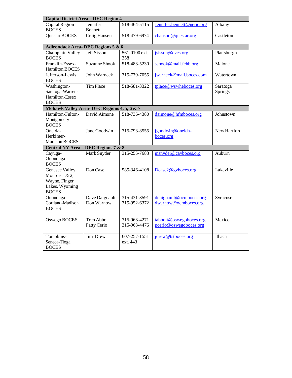| <b>Capital District Area - DEC Region 4</b>                                            |                                 |                              |                                                   |                     |
|----------------------------------------------------------------------------------------|---------------------------------|------------------------------|---------------------------------------------------|---------------------|
| Capital Region<br><b>BOCES</b>                                                         | Jennifer<br><b>Bennett</b>      | 518-464-5115                 | Jennifer.bennett@neric.org                        | Albany              |
| <b>Questar BOCES</b>                                                                   | Craig Hansen                    | 518-479-6974                 | chanson@questar.org                               | Castleton           |
| Adirondack Area-DEC Regions 5 & 6                                                      |                                 |                              |                                                   |                     |
| Champlain Valley<br><b>BOCES</b>                                                       | <b>Jeff Sisson</b>              | 561-0100 ext.<br>358         | jsisson@cves.org                                  | Plattsburgh         |
| Franklin-Essex-<br><b>Hamilton BOCES</b>                                               | <b>Suzanne Shook</b>            | 518-483-5230                 | sshook@mail.fehb.org                              | Malone              |
| Jefferson-Lewis<br><b>BOCES</b>                                                        | John Warneck                    | 315-779-7055                 | jwarneck@mail.boces.com                           | Watertown           |
| Washington-<br>Saratoga-Warren-<br>Hamilton-Essex<br><b>BOCES</b>                      | <b>Tim Place</b>                | 518-581-3322                 | tplace@wswheboces.org                             | Saratoga<br>Springs |
| Mohawk Valley Area- DEC Regions 4, 5, 6 & 7                                            |                                 |                              |                                                   |                     |
| Hamilton-Fulton-<br>Montgomery<br><b>BOCES</b>                                         | David Aimone                    | 518-736-4380                 | daimone@hfmboces.org                              | Johnstown           |
| Oneida-<br>Herkimer-<br><b>Madison BOCES</b>                                           | Jane Goodwin                    | 315-793-8555                 | jgoodwin@oneida-<br>boces.org                     | New Hartford        |
| Central NY Area - DEC Regions 7 & 8                                                    |                                 |                              |                                                   |                     |
| Cayuga-<br>Onondaga<br><b>BOCES</b>                                                    | Mark Snyder                     | 315-255-7683                 | msnyder@cayboces.org                              | Auburn              |
| Genesee Valley,<br>Monroe $1 & 2$ ,<br>Wayne, Finger<br>Lakes, Wyoming<br><b>BOCES</b> | Don Case                        | 585-346-4108                 | Dcase2@gvboces.org                                | Lakeville           |
| Onondaga-<br>Cortland-Madison<br><b>BOCES</b>                                          | Dave Daignault<br>Don Warnow    | 315-431-8591<br>315-952-6372 | ddaignault@ocmboces.org<br>dwarnow@ocmboces.org   | Syracuse            |
| Oswego BOCES                                                                           | <b>Tom Abbot</b><br>Patty Cerio | 315-963-4271<br>315-963-4476 | tabbott@oswegoboces.org<br>pcerio@oswegoboces.org | Mexico              |
| Tompkins-<br>Seneca-Tioga<br><b>BOCES</b>                                              | Jim Drew                        | 607-257-1551<br>ext. 443     | jdrew@tstboces.org                                | Ithaca              |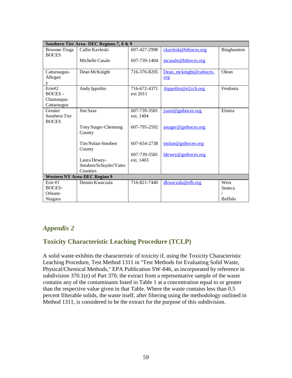|                                                   | Southern Tier Area- DEC Regions 7, 8 & 9 |                           |                               |                   |  |
|---------------------------------------------------|------------------------------------------|---------------------------|-------------------------------|-------------------|--|
| Broome-Tioga<br><b>BOCES</b>                      | Callie Kavleski                          | 607-427-2998              | ckavlesk@btboces.org          | <b>Binghamton</b> |  |
|                                                   | Michelle Casale                          | 607-739-1404              | mcasale@btboces.org           |                   |  |
| Cattaraugus-<br>Allegan<br>y                      | Dean McKnight                            | 716-376-8205              | Dean mcknight@caboces.<br>org | Olean             |  |
| Erie#2<br>$BOCES -$<br>Chautauqua-<br>Cattaraugus | Andy Ippolito                            | 716-672-4371<br>ext 2011  | Aippolito@e2ccb.org           | Fredonia          |  |
| Greater<br>Southern Tier<br><b>BOCES</b>          | Jim Saxe                                 | 607-739-3581<br>ext. 1404 | jsaxe@gstboces.org            | Elmira            |  |
|                                                   | Tony Stager-Chemung<br>County            | 607-795-2592              | astager@gstboces.org          |                   |  |
|                                                   | Tim Nolan-Steuben<br>County              | 607-654-2738              | tnolan@gstboces.org           |                   |  |
|                                                   |                                          | 607-739-3581              | ldewey@gstboces.org           |                   |  |
|                                                   | Laura Dewey-                             | ext. 1403                 |                               |                   |  |
|                                                   | Steuben/Schuyler/Yates                   |                           |                               |                   |  |
|                                                   | Counties                                 |                           |                               |                   |  |
| <b>Western NY Area-DEC Region 9</b>               |                                          |                           |                               |                   |  |
| Fire #1                                           | Dennis Kwaczala                          | 716-821-7440              | dkwaczala@elb.org             | West              |  |
| <b>BOCES-</b>                                     |                                          |                           |                               | Seneca            |  |
| Orleans-                                          |                                          |                           |                               |                   |  |
| Niagara                                           |                                          |                           |                               | <b>Buffalo</b>    |  |

# *Appendix 2*

# **Toxicity Characteristic Leaching Procedure (TCLP)**

A solid waste exhibits the characteristic of toxicity if, using the Toxicity Characteristic Leaching Procedure, Test Method 1311 in "Test Methods for Evaluating Solid Waste, Physical/Chemical Methods," EPA Publication SW-846, as incorporated by reference in subdivision 370.1(e) of Part 370, the extract from a representative sample of the waste contains any of the contaminants listed in Table 1 at a concentration equal to or greater than the respective value given in that Table. Where the waste contains less than 0.5 percent filterable solids, the waste itself, after filtering using the methodology outlined in Method 1311, is considered to be the extract for the purpose of this subdivision.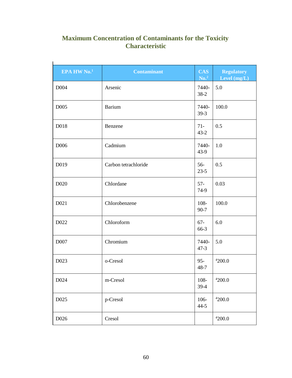# **Maximum Concentration of Contaminants for the Toxicity Characteristic**

| EPA HW No. <sup>1</sup> | <b>Contaminant</b>   | <b>CAS</b><br>No. <sup>2</sup> | <b>Regulatory</b><br>Level (mg/L) |
|-------------------------|----------------------|--------------------------------|-----------------------------------|
| D004                    | Arsenic              | 7440-<br>$38-2$                | 5.0                               |
| D005                    | <b>Barium</b>        | 7440-<br>$39-3$                | 100.0                             |
| D018                    | Benzene              | $71 -$<br>$43 - 2$             | 0.5                               |
| D006                    | Cadmium              | 7440-<br>$43-9$                | 1.0                               |
| D019                    | Carbon tetrachloride | $56-$<br>$23-5$                | 0.5                               |
| D <sub>020</sub>        | Chlordane            | $57-$<br>74-9                  | 0.03                              |
| D <sub>021</sub>        | Chlorobenzene        | 108-<br>$90 - 7$               | 100.0                             |
| D <sub>022</sub>        | Chloroform           | $67 -$<br>66-3                 | 6.0                               |
| D007                    | Chromium             | 7440-<br>$47 - 3$              | 5.0                               |
| D023                    | o-Cresol             | $95 -$<br>$48 - 7$             | 4200.0                            |
| D024                    | m-Cresol             | 108-<br>39-4                   | 4200.0                            |
| D025                    | p-Cresol             | 106-<br>$44 - 5$               | 4200.0                            |
| D026                    | Cresol               |                                | 4200.0                            |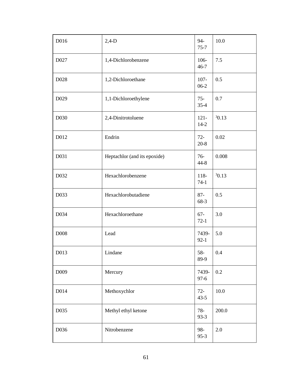| D016              | $2,4-D$                      | 94-<br>$75 - 7$    | 10.0  |
|-------------------|------------------------------|--------------------|-------|
| D027              | 1,4-Dichlorobenzene          | 106-<br>$46 - 7$   | 7.5   |
| D028              | 1,2-Dichloroethane           | $107 -$<br>$06-2$  | 0.5   |
| D <sub>029</sub>  | 1,1-Dichloroethylene         | $75 -$<br>$35 - 4$ | 0.7   |
| D <sub>0</sub> 30 | 2,4-Dinitrotoluene           | $121 -$<br>$14-2$  | 30.13 |
| D012              | Endrin                       | $72-$<br>$20 - 8$  | 0.02  |
| D031              | Heptachlor (and its epoxide) | $76-$<br>44-8      | 0.008 |
| D032              | Hexachlorobenzene            | 118-<br>$74-1$     | 30.13 |
| D033              | Hexachlorobutadiene          | $87 -$<br>68-3     | 0.5   |
| D034              | Hexachloroethane             | $67 -$<br>$72-1$   | 3.0   |
| D008              | Lead                         | 7439-<br>$92-1$    | 5.0   |
| D013              | Lindane                      | $58-$<br>89-9      | 0.4   |
| D009              | Mercury                      | 7439-<br>$97 - 6$  | 0.2   |
| D014              | Methoxychlor                 | $72-$<br>$43 - 5$  | 10.0  |
| D035              | Methyl ethyl ketone          | $78-$<br>$93-3$    | 200.0 |
| D036              | Nitrobenzene                 | 98-<br>$95-3$      | 2.0   |